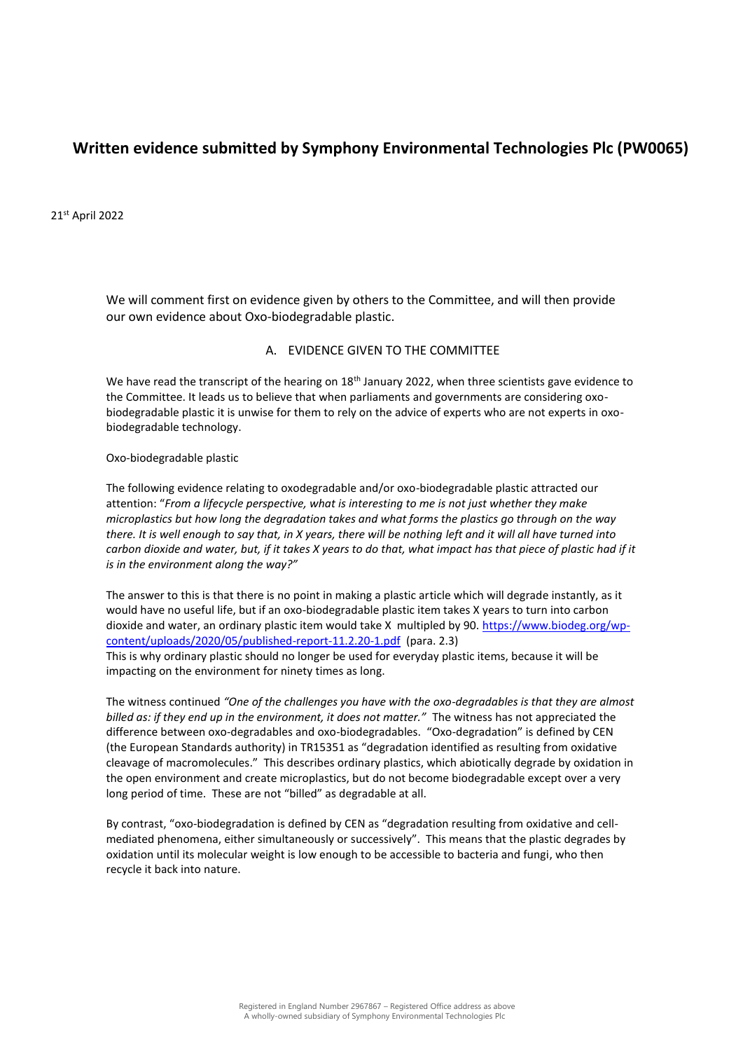## **Written evidence submitted by Symphony Environmental Technologies Plc (PW0065)**

#### 21st April 2022

We will comment first on evidence given by others to the Committee, and will then provide our own evidence about Oxo-biodegradable plastic.

#### A. EVIDENCE GIVEN TO THE COMMITTEE

We have read the transcript of the hearing on 18<sup>th</sup> January 2022, when three scientists gave evidence to the Committee. It leads us to believe that when parliaments and governments are considering oxobiodegradable plastic it is unwise for them to rely on the advice of experts who are not experts in oxobiodegradable technology.

#### Oxo-biodegradable plastic

The following evidence relating to oxodegradable and/or oxo-biodegradable plastic attracted our attention: "*From a lifecycle perspective, what is interesting to me is not just whether they make microplastics but how long the degradation takes and what forms the plastics go through on the way there. It is well enough to say that, in X years, there will be nothing left and it will all have turned into carbon dioxide and water, but, if it takes X years to do that, what impact has that piece of plastic had if it is in the environment along the way?"*

The answer to this is that there is no point in making a plastic article which will degrade instantly, as it would have no useful life, but if an oxo-biodegradable plastic item takes X years to turn into carbon dioxide and water, an ordinary plastic item would take X multipled by 90[. https://www.biodeg.org/wp](https://www.biodeg.org/wp-content/uploads/2020/05/published-report-11.2.20-1.pdf)[content/uploads/2020/05/published-report-11.2.20-1.pdf](https://www.biodeg.org/wp-content/uploads/2020/05/published-report-11.2.20-1.pdf) (para. 2.3) This is why ordinary plastic should no longer be used for everyday plastic items, because it will be impacting on the environment for ninety times as long.

The witness continued *"One of the challenges you have with the oxo-degradables is that they are almost billed as: if they end up in the environment, it does not matter."* The witness has not appreciated the difference between oxo-degradables and oxo-biodegradables. "Oxo-degradation" is defined by CEN (the European Standards authority) in TR15351 as "degradation identified as resulting from oxidative cleavage of macromolecules." This describes ordinary plastics, which abiotically degrade by oxidation in the open environment and create microplastics, but do not become biodegradable except over a very long period of time. These are not "billed" as degradable at all.

By contrast, "oxo-biodegradation is defined by CEN as "degradation resulting from oxidative and cellmediated phenomena, either simultaneously or successively". This means that the plastic degrades by oxidation until its molecular weight is low enough to be accessible to bacteria and fungi, who then recycle it back into nature.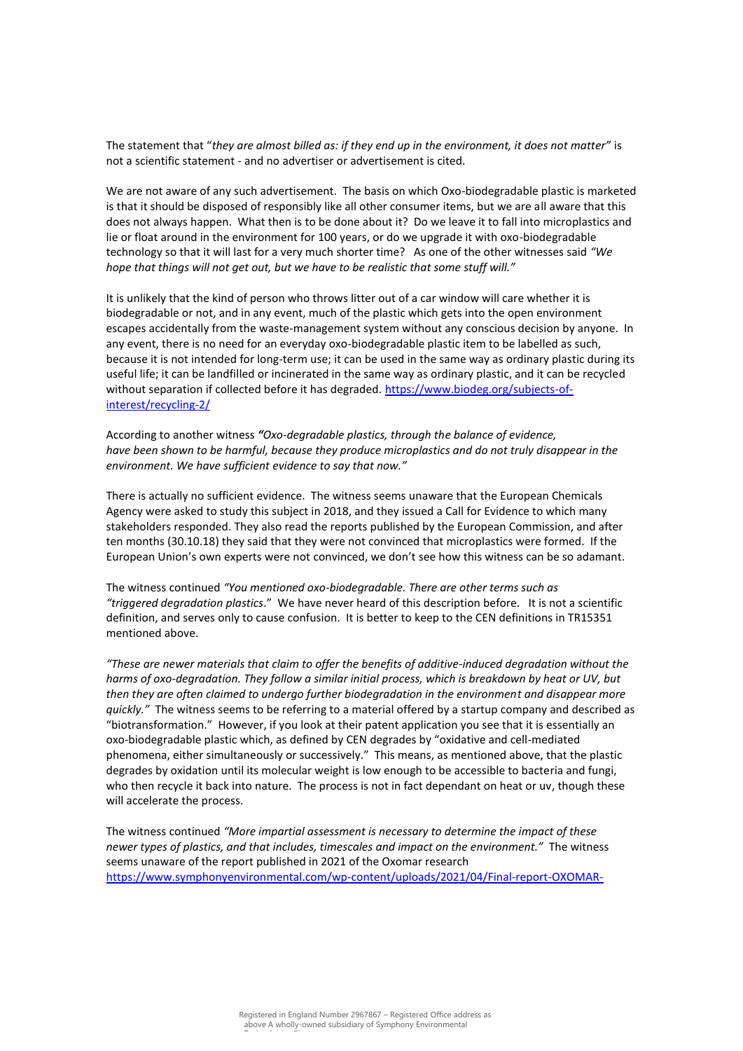The statement that "*they are almost billed as: if they end up in the environment, it does not matter"* is not a scientific statement - and no advertiser or advertisement is cited.

We are not aware of any such advertisement. The basis on which Oxo-biodegradable plastic is marketed is that it should be disposed of responsibly like all other consumer items, but we are all aware that this does not always happen. What then is to be done about it? Do we leave it to fall into microplastics and lie or float around in the environment for 100 years, or do we upgrade it with oxo-biodegradable technology so that it will last for a very much shorter time? As one of the other witnesses said *"We hope that things will not get out, but we have to be realistic that some stuff will."*

It is unlikely that the kind of person who throws litter out of a car window will care whether it is biodegradable or not, and in any event, much of the plastic which gets into the open environment escapes accidentally from the waste-management system without any conscious decision by anyone. In any event, there is no need for an everyday oxo-biodegradable plastic item to be labelled as such, because it is not intended for long-term use; it can be used in the same way as ordinary plastic during its useful life; it can be landfilled or incinerated in the same way as ordinary plastic, and it can be recycled without separation if collected before it has degraded[. https://www.biodeg.org/subjects-of](https://www.biodeg.org/subjects-of-interest/recycling-2/)[interest/recycling-2/](https://www.biodeg.org/subjects-of-interest/recycling-2/)

According to another witness *"Oxo-degradable plastics, through the balance of evidence, have been shown to be harmful, because they produce microplastics and do not truly disappear in the environment. We have sufficient evidence to say that now."*

There is actually no sufficient evidence. The witness seems unaware that the European Chemicals Agency were asked to study this subject in 2018, and they issued a Call for Evidence to which many stakeholders responded. They also read the reports published by the European Commission, and after ten months (30.10.18) they said that they were not convinced that microplastics were formed. If the European Union's own experts were not convinced, we don't see how this witness can be so adamant.

The witness continued *"You mentioned oxo-biodegradable. There are other terms such as "triggered degradation plastics*." We have never heard of this description before. It is not a scientific definition, and serves only to cause confusion. It is better to keep to the CEN definitions in TR15351 mentioned above.

*"These are newer materials that claim to offer the benefits of additive-induced degradation without the harms of oxo-degradation. They follow a similar initial process, which is breakdown by heat or UV, but then they are often claimed to undergo further biodegradation in the environment and disappear more quickly."* The witness seems to be referring to a material offered by a startup company and described as "biotransformation." However, if you look at their patent application you see that it is essentially an oxo-biodegradable plastic which, as defined by CEN degrades by "oxidative and cell-mediated phenomena, either simultaneously or successively." This means, as mentioned above, that the plastic degrades by oxidation until its molecular weight is low enough to be accessible to bacteria and fungi, who then recycle it back into nature. The process is not in fact dependant on heat or uv, though these will accelerate the process.

The witness continued *"More impartial assessment is necessary to determine the impact of these newer types of plastics, and that includes, timescales and impact on the environment."* The witness seems unaware of the report published in 2021 of the Oxomar research [https://www.symphonyenvironmental.com/wp-content/uploads/2021/04/Final-report-OXOMAR-](https://www.symphonyenvironmental.com/wp-content/uploads/2021/04/Final-report-OXOMAR-10032021.pdf)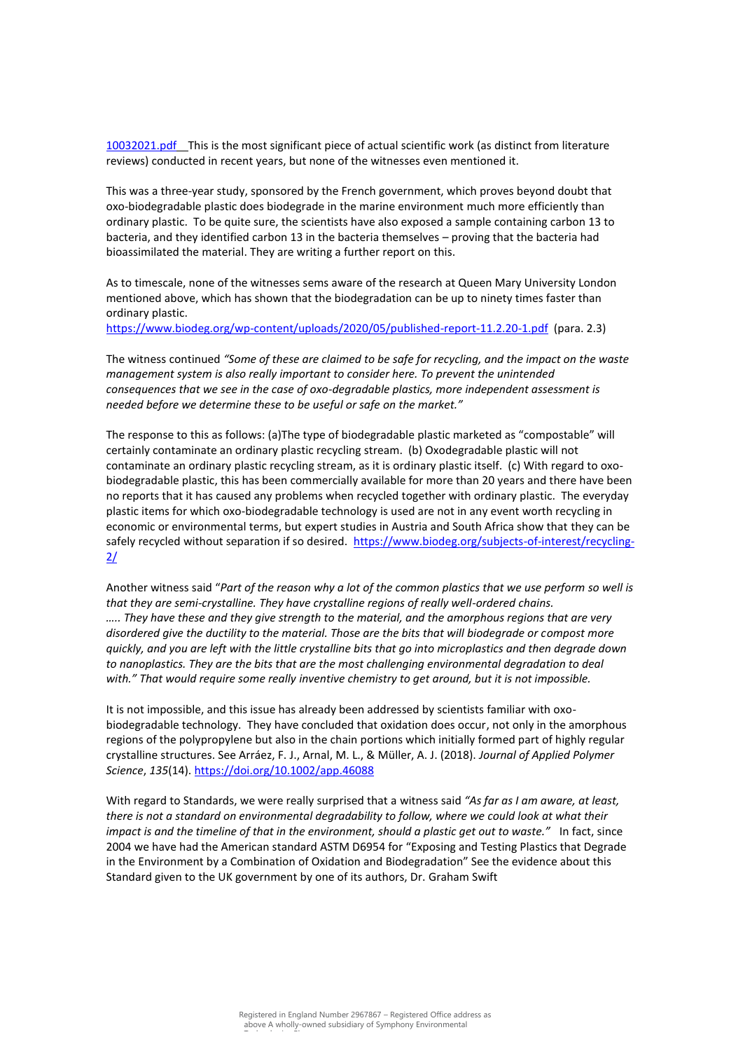[10032021.pdf](https://www.symphonyenvironmental.com/wp-content/uploads/2021/04/Final-report-OXOMAR-10032021.pdf) This is the most significant piece of actual scientific work (as distinct from literature reviews) conducted in recent years, but none of the witnesses even mentioned it.

This was a three-year study, sponsored by the French government, which proves beyond doubt that oxo-biodegradable plastic does biodegrade in the marine environment much more efficiently than ordinary plastic. To be quite sure, the scientists have also exposed a sample containing carbon 13 to bacteria, and they identified carbon 13 in the bacteria themselves – proving that the bacteria had bioassimilated the material. They are writing a further report on this.

As to timescale, none of the witnesses sems aware of the research at Queen Mary University London mentioned above, which has shown that the biodegradation can be up to ninety times faster than ordinary plastic.

<https://www.biodeg.org/wp-content/uploads/2020/05/published-report-11.2.20-1.pdf>(para. 2.3)

The witness continued *"Some of these are claimed to be safe for recycling, and the impact on the waste management system is also really important to consider here. To prevent the unintended consequences that we see in the case of oxo-degradable plastics, more independent assessment is needed before we determine these to be useful or safe on the market."* 

The response to this as follows: (a)The type of biodegradable plastic marketed as "compostable" will certainly contaminate an ordinary plastic recycling stream. (b) Oxodegradable plastic will not contaminate an ordinary plastic recycling stream, as it is ordinary plastic itself. (c) With regard to oxobiodegradable plastic, this has been commercially available for more than 20 years and there have been no reports that it has caused any problems when recycled together with ordinary plastic. The everyday plastic items for which oxo-biodegradable technology is used are not in any event worth recycling in economic or environmental terms, but expert studies in Austria and South Africa show that they can be safely recycled without separation if so desired. [https://www.biodeg.org/subjects-of-interest/recycling-](https://www.biodeg.org/subjects-of-interest/recycling-2/)[2/](https://www.biodeg.org/subjects-of-interest/recycling-2/)

Another witness said "*Part of the reason why a lot of the common plastics that we use perform so well is that they are semi-crystalline. They have crystalline regions of really well-ordered chains. ….. They have these and they give strength to the material, and the amorphous regions that are very disordered give the ductility to the material. Those are the bits that will biodegrade or compost more quickly, and you are left with the little crystalline bits that go into microplastics and then degrade down*  to nanoplastics. They are the bits that are the most challenging environmental degradation to deal *with." That would require some really inventive chemistry to get around, but it is not impossible.*

It is not impossible, and this issue has already been addressed by scientists familiar with oxobiodegradable technology. They have concluded that oxidation does occur, not only in the amorphous regions of the polypropylene but also in the chain portions which initially formed part of highly regular crystalline structures. See Arráez, F. J., Arnal, M. L., & Müller, A. J. (2018). *Journal of Applied Polymer Science*, *135*(14). [https://doi.org/10.1002/app.46088](https://eur01.safelinks.protection.outlook.com/?url=https%3A%2F%2Fdoi.org%2F10.1002%2Fapp.46088&data=04%7C01%7Cdc%40d2w.net%7C819aa387f3dd45b8b82608da11ae2dc2%7Cea9f534b3dee47e589e382546b8836c9%7C0%7C0%7C637841737048348536%7CUnknown%7CTWFpbGZsb3d8eyJWIjoiMC4wLjAwMDAiLCJQIjoiV2luMzIiLCJBTiI6Ik1haWwiLCJXVCI6Mn0%3D%7C3000&sdata=qGjmPvsuOFNdQBdLbVS9fZN13dineMLQU1IL68%2FV0ZI%3D&reserved=0) 

With regard to Standards, we were really surprised that a witness said *"As far as I am aware, at least, there is not a standard on environmental degradability to follow, where we could look at what their impact is and the timeline of that in the environment, should a plastic get out to waste."* In fact, since 2004 we have had the American standard ASTM D6954 for "Exposing and Testing Plastics that Degrade in the Environment by a Combination of Oxidation and Biodegradation" See the evidence about this Standard given to the UK government by one of its authors, Dr. Graham Swift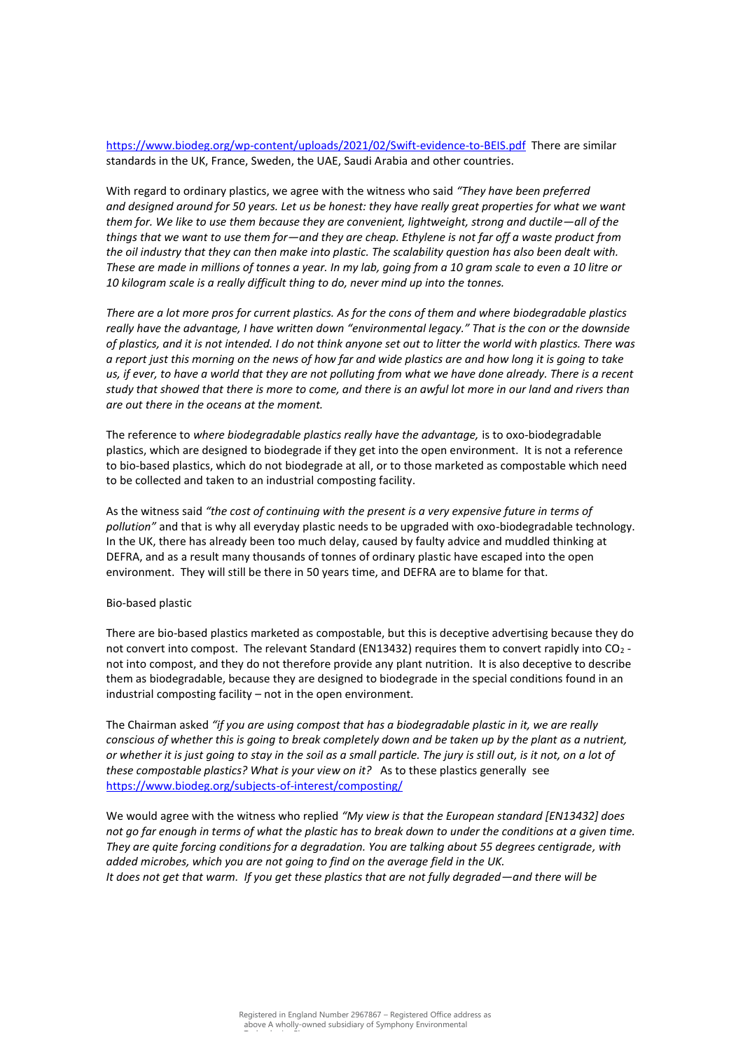<https://www.biodeg.org/wp-content/uploads/2021/02/Swift-evidence-to-BEIS.pdf>There are similar standards in the UK, France, Sweden, the UAE, Saudi Arabia and other countries.

With regard to ordinary plastics, we agree with the witness who said *"They have been preferred and designed around for 50 years. Let us be honest: they have really great properties for what we want them for. We like to use them because they are convenient, lightweight, strong and ductile—all of the things that we want to use them for—and they are cheap. Ethylene is not far off a waste product from the oil industry that they can then make into plastic. The scalability question has also been dealt with. These are made in millions of tonnes a year. In my lab, going from a 10 gram scale to even a 10 litre or 10 kilogram scale is a really difficult thing to do, never mind up into the tonnes.*

*There are a lot more pros for current plastics. As for the cons of them and where biodegradable plastics really have the advantage, I have written down "environmental legacy." That is the con or the downside of plastics, and it is not intended. I do not think anyone set out to litter the world with plastics. There was a report just this morning on the news of how far and wide plastics are and how long it is going to take us, if ever, to have a world that they are not polluting from what we have done already. There is a recent study that showed that there is more to come, and there is an awful lot more in our land and rivers than are out there in the oceans at the moment.*

The reference to *where biodegradable plastics really have the advantage*, is to oxo-biodegradable plastics, which are designed to biodegrade if they get into the open environment. It is not a reference to bio-based plastics, which do not biodegrade at all, or to those marketed as compostable which need to be collected and taken to an industrial composting facility.

As the witness said *"the cost of continuing with the present is a very expensive future in terms of pollution"* and that is why all everyday plastic needs to be upgraded with oxo-biodegradable technology. In the UK, there has already been too much delay, caused by faulty advice and muddled thinking at DEFRA, and as a result many thousands of tonnes of ordinary plastic have escaped into the open environment. They will still be there in 50 years time, and DEFRA are to blame for that.

#### Bio-based plastic

There are bio-based plastics marketed as compostable, but this is deceptive advertising because they do not convert into compost. The relevant Standard (EN13432) requires them to convert rapidly into  $CO<sub>2</sub>$  not into compost, and they do not therefore provide any plant nutrition. It is also deceptive to describe them as biodegradable, because they are designed to biodegrade in the special conditions found in an industrial composting facility – not in the open environment.

The Chairman asked *"if you are using compost that has a biodegradable plastic in it, we are really conscious of whether this is going to break completely down and be taken up by the plant as a nutrient, or whether it is just going to stay in the soil as a small particle. The jury is still out, is it not, on a lot of these compostable plastics? What is your view on it?* As to these plastics generally see <https://www.biodeg.org/subjects-of-interest/composting/>

We would agree with the witness who replied *"My view is that the European standard [EN13432] does not go far enough in terms of what the plastic has to break down to under the conditions at a given time. They are quite forcing conditions for a degradation. You are talking about 55 degrees centigrade, with added microbes, which you are not going to find on the average field in the UK. It does not get that warm. If you get these plastics that are not fully degraded—and there will be*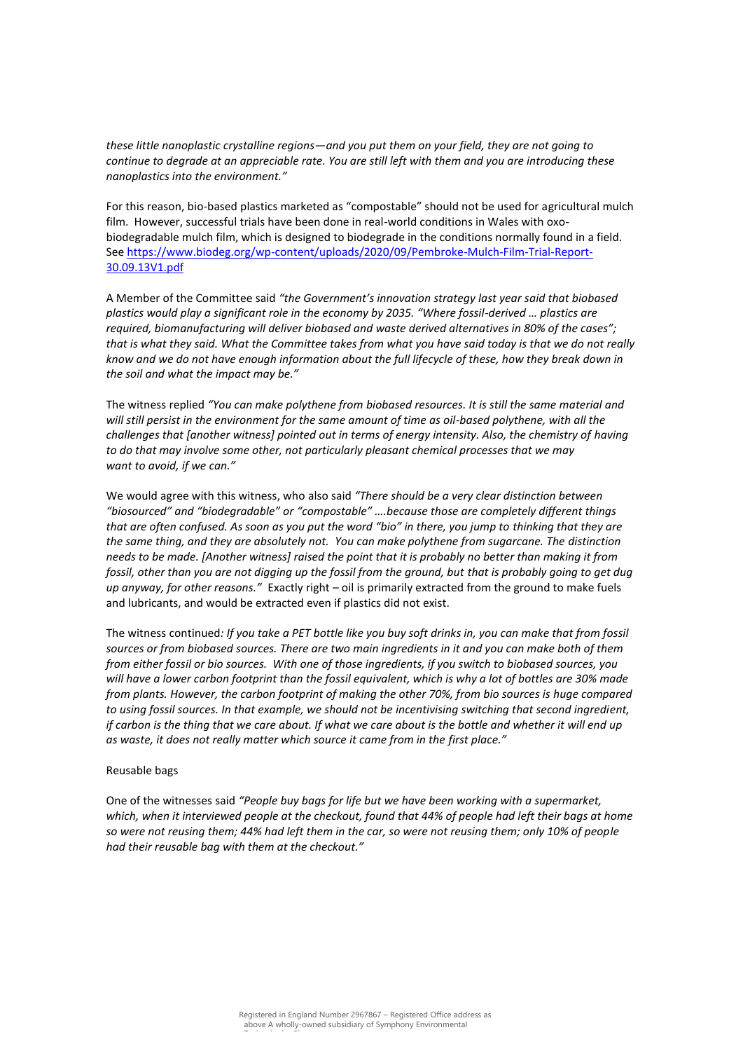*these little nanoplastic crystalline regions—and you put them on your field, they are not going to continue to degrade at an appreciable rate. You are still left with them and you are introducing these nanoplastics into the environment."*

For this reason, bio-based plastics marketed as "compostable" should not be used for agricultural mulch film. However, successful trials have been done in real-world conditions in Wales with oxobiodegradable mulch film, which is designed to biodegrade in the conditions normally found in a field. See [https://www.biodeg.org/wp-content/uploads/2020/09/Pembroke-Mulch-Film-Trial-Report-](https://www.biodeg.org/wp-content/uploads/2020/09/Pembroke-Mulch-Film-Trial-Report-30.09.13V1.pdf)[30.09.13V1.pdf](https://www.biodeg.org/wp-content/uploads/2020/09/Pembroke-Mulch-Film-Trial-Report-30.09.13V1.pdf)

A Member of the Committee said *"the Government's innovation strategy last year said that biobased plastics would play a significant role in the economy by 2035. "Where fossil-derived … plastics are required, biomanufacturing will deliver biobased and waste derived alternatives in 80% of the cases"; that is what they said. What the Committee takes from what you have said today is that we do not really know and we do not have enough information about the full lifecycle of these, how they break down in the soil and what the impact may be."*

The witness replied *"You can make polythene from biobased resources. It is still the same material and will still persist in the environment for the same amount of time as oil-based polythene, with all the challenges that [another witness] pointed out in terms of energy intensity. Also, the chemistry of having to do that may involve some other, not particularly pleasant chemical processes that we may want to avoid, if we can."*

We would agree with this witness, who also said *"There should be a very clear distinction between "biosourced" and "biodegradable" or "compostable" ….because those are completely different things that are often confused. As soon as you put the word "bio" in there, you jump to thinking that they are the same thing, and they are absolutely not. You can make polythene from sugarcane. The distinction needs to be made. [Another witness] raised the point that it is probably no better than making it from fossil, other than you are not digging up the fossil from the ground, but that is probably going to get dug up anyway, for other reasons."* Exactly right – oil is primarily extracted from the ground to make fuels and lubricants, and would be extracted even if plastics did not exist.

The witness continued*: If you take a PET bottle like you buy soft drinks in, you can make that from fossil sources or from biobased sources. There are two main ingredients in it and you can make both of them from either fossil or bio sources. With one of those ingredients, if you switch to biobased sources, you will have a lower carbon footprint than the fossil equivalent, which is why a lot of bottles are 30% made from plants. However, the carbon footprint of making the other 70%, from bio sources is huge compared to using fossil sources. In that example, we should not be incentivising switching that second ingredient, if carbon is the thing that we care about. If what we care about is the bottle and whether it will end up as waste, it does not really matter which source it came from in the first place."*

#### Reusable bags

One of the witnesses said *"People buy bags for life but we have been working with a supermarket, which, when it interviewed people at the checkout, found that 44% of people had left their bags at home so were not reusing them; 44% had left them in the car, so were not reusing them; only 10% of people had their reusable bag with them at the checkout."*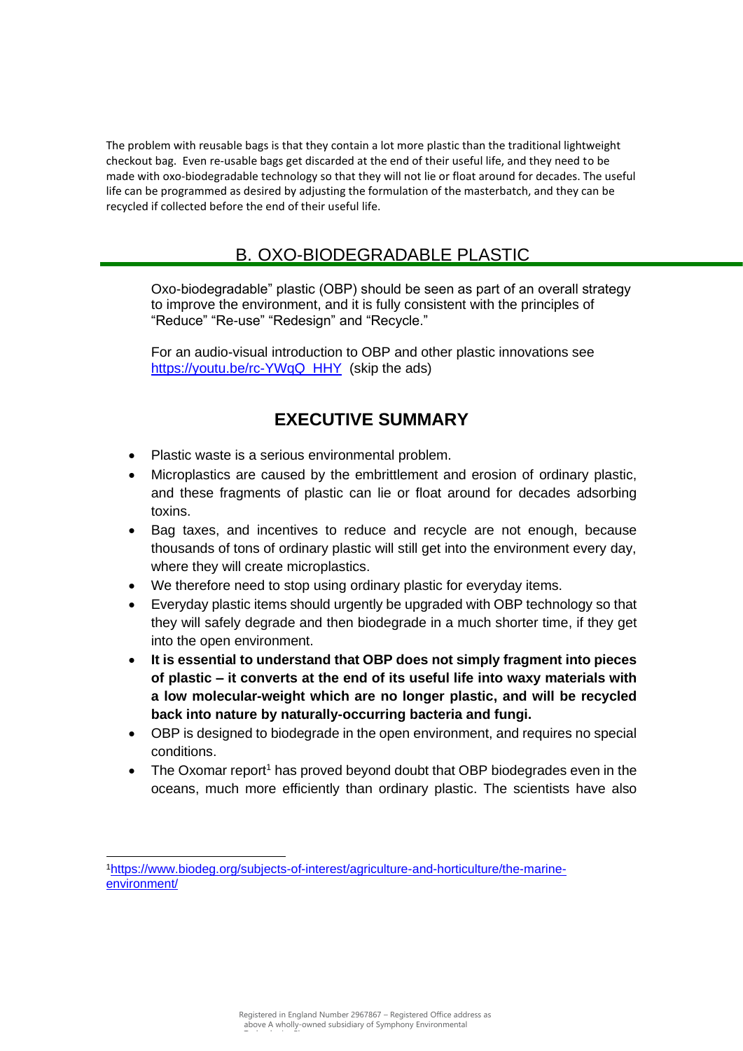The problem with reusable bags is that they contain a lot more plastic than the traditional lightweight checkout bag. Even re-usable bags get discarded at the end of their useful life, and they need to be made with oxo-biodegradable technology so that they will not lie or float around for decades. The useful life can be programmed as desired by adjusting the formulation of the masterbatch, and they can be recycled if collected before the end of their useful life.

# B. OXO-BIODEGRADABLE PLASTIC

Oxo-biodegradable" plastic (OBP) should be seen as part of an overall strategy to improve the environment, and it is fully consistent with the principles of "Reduce" "Re-use" "Redesign" and "Recycle."

For an audio-visual introduction to OBP and other plastic innovations see [https://youtu.be/rc-YWqQ\\_HHY](https://youtu.be/rc-YWqQ_HHY) (skip the ads)

# **EXECUTIVE SUMMARY**

- Plastic waste is a serious environmental problem.
- Microplastics are caused by the embrittlement and erosion of ordinary plastic, and these fragments of plastic can lie or float around for decades adsorbing toxins.
- Bag taxes, and incentives to reduce and recycle are not enough, because thousands of tons of ordinary plastic will still get into the environment every day, where they will create microplastics.
- We therefore need to stop using ordinary plastic for everyday items.
- Everyday plastic items should urgently be upgraded with OBP technology so that they will safely degrade and then biodegrade in a much shorter time, if they get into the open environment.
- **It is essential to understand that OBP does not simply fragment into pieces of plastic – it converts at the end of its useful life into waxy materials with a low molecular-weight which are no longer plastic, and will be recycled back into nature by naturally-occurring bacteria and fungi.**
- OBP is designed to biodegrade in the open environment, and requires no special conditions.
- The Oxomar report<sup>1</sup> has proved beyond doubt that OBP biodegrades even in the oceans, much more efficiently than ordinary plastic. The scientists have also

<sup>1</sup>[https://www.biodeg.org/subjects-of-interest/agriculture-and-horticulture/the-marine](https://www.biodeg.org/subjects-of-interest/agriculture-and-horticulture/the-marine-environment/)[environment/](https://www.biodeg.org/subjects-of-interest/agriculture-and-horticulture/the-marine-environment/)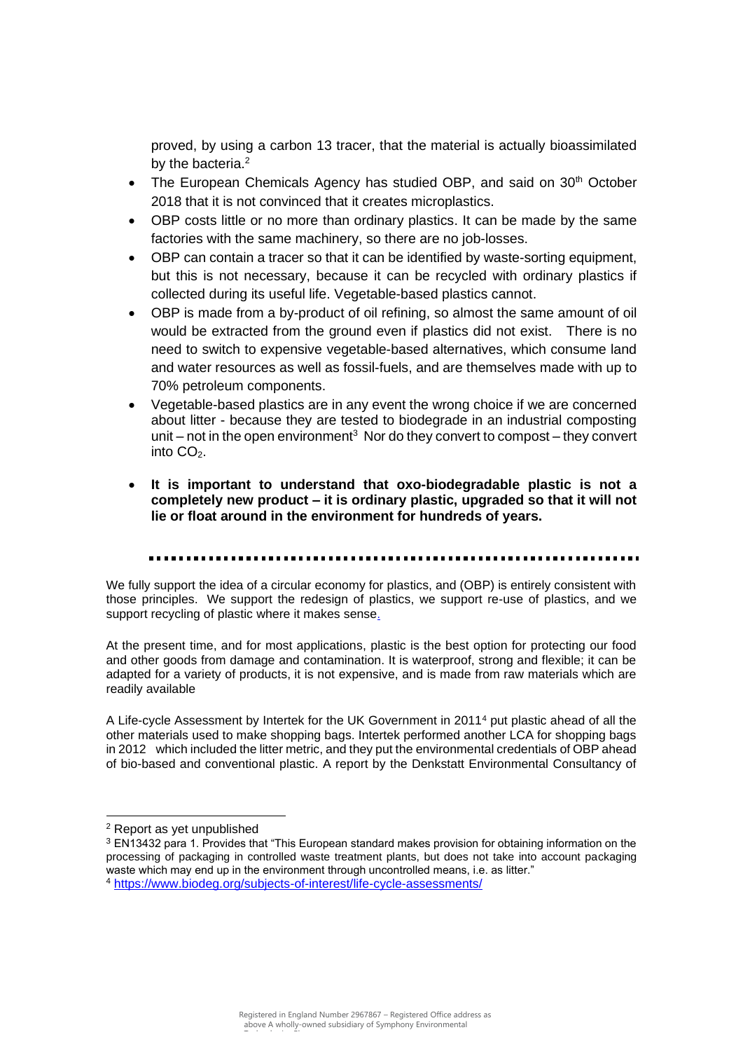proved, by using a carbon 13 tracer, that the material is actually bioassimilated by the bacteria.<sup>2</sup>

- The European Chemicals Agency has studied OBP, and said on 30<sup>th</sup> October 2018 that it is not convinced that it creates microplastics.
- OBP costs little or no more than ordinary plastics. It can be made by the same factories with the same machinery, so there are no job-losses.
- OBP can contain a tracer so that it can be identified by waste-sorting equipment, but this is not necessary, because it can be recycled with ordinary plastics if collected during its useful life. Vegetable-based plastics cannot.
- OBP is made from a by-product of oil refining, so almost the same amount of oil would be extracted from the ground even if plastics did not exist. There is no need to switch to expensive vegetable-based alternatives, which consume land and water resources as well as fossil-fuels, and are themselves made with up to 70% petroleum components.
- Vegetable-based plastics are in any event the wrong choice if we are concerned about litter - because they are tested to biodegrade in an industrial composting unit – not in the open environment<sup>3</sup> Nor do they convert to compost – they convert into  $CO<sub>2</sub>$ .
- **It is important to understand that oxo-biodegradable plastic is not a completely new product – it is ordinary plastic, upgraded so that it will not lie or float around in the environment for hundreds of years.**

We fully support the idea of a circular economy for plastics, and (OBP) is entirely consistent with those principles. We support the redesign of plastics, we support re-use of plastics, and we support recycling of plastic where it makes sense.

At the present time, and for most applications, plastic is the best option for protecting our food and other goods from damage and contamination. It is waterproof, strong and flexible; it can be adapted for a variety of products, it is not expensive, and is made from raw materials which are readily available

A Life-cycle Assessment by Intertek for the UK Government in 2011<sup>4</sup> put plastic ahead of all the other materials used to make shopping bags. Intertek performed another LCA for shopping bags in 2012 which included the litter metric, and they put the environmental credentials of OBP ahead of bio-based and conventional plastic. A report by the Denkstatt Environmental Consultancy of

<sup>2</sup> Report as yet unpublished

<sup>&</sup>lt;sup>3</sup> EN13432 para 1. Provides that "This European standard makes provision for obtaining information on the processing of packaging in controlled waste treatment plants, but does not take into account packaging waste which may end up in the environment through uncontrolled means, i.e. as litter."

<sup>4</sup> <https://www.biodeg.org/subjects-of-interest/life-cycle-assessments/>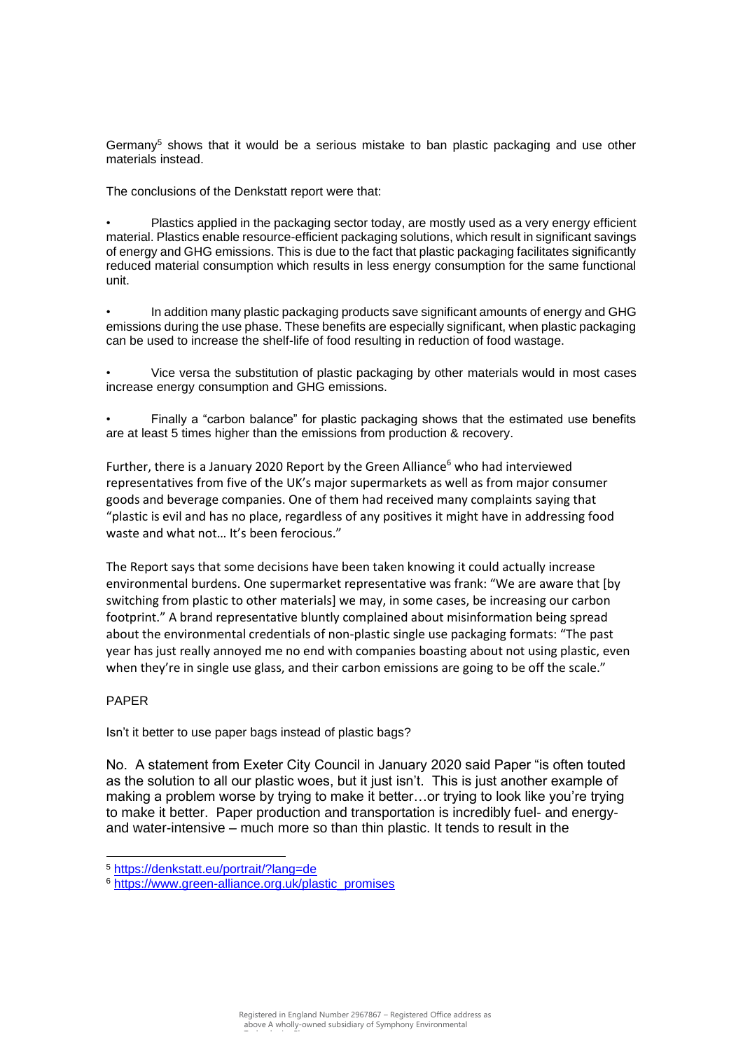Germany<sup>5</sup> shows that it would be a serious mistake to ban plastic packaging and use other materials instead.

The conclusions of the Denkstatt report were that:

• Plastics applied in the packaging sector today, are mostly used as a very energy efficient material. Plastics enable resource-efficient packaging solutions, which result in significant savings of energy and GHG emissions. This is due to the fact that plastic packaging facilitates significantly reduced material consumption which results in less energy consumption for the same functional unit.

• In addition many plastic packaging products save significant amounts of energy and GHG emissions during the use phase. These benefits are especially significant, when plastic packaging can be used to increase the shelf-life of food resulting in reduction of food wastage.

• Vice versa the substitution of plastic packaging by other materials would in most cases increase energy consumption and GHG emissions.

• Finally a "carbon balance" for plastic packaging shows that the estimated use benefits are at least 5 times higher than the emissions from production & recovery.

Further, there is a January 2020 Report by the Green Alliance<sup>6</sup> who had interviewed representatives from five of the UK's major supermarkets as well as from major consumer goods and beverage companies. One of them had received many complaints saying that "plastic is evil and has no place, regardless of any positives it might have in addressing food waste and what not… It's been ferocious."

The Report says that some decisions have been taken knowing it could actually increase environmental burdens. One supermarket representative was frank: "We are aware that [by switching from plastic to other materials] we may, in some cases, be increasing our carbon footprint." A brand representative bluntly complained about misinformation being spread about the environmental credentials of non-plastic single use packaging formats: "The past year has just really annoyed me no end with companies boasting about not using plastic, even when they're in single use glass, and their carbon emissions are going to be off the scale."

## PAPER

Isn't it better to use paper bags instead of plastic bags?

No. A statement from Exeter City Council in January 2020 said Paper "is often touted as the solution to all our plastic woes, but it just isn't. This is just another example of making a problem worse by trying to make it better…or trying to look like you're trying to make it better. Paper production and transportation is incredibly fuel- and energyand water-intensive – much more so than thin plastic. It tends to result in the

<sup>5</sup> <https://denkstatt.eu/portrait/?lang=de>

<sup>6</sup> [https://www.green-alliance.org.uk/plastic\\_promises](https://www.green-alliance.org.uk/plastic_promises)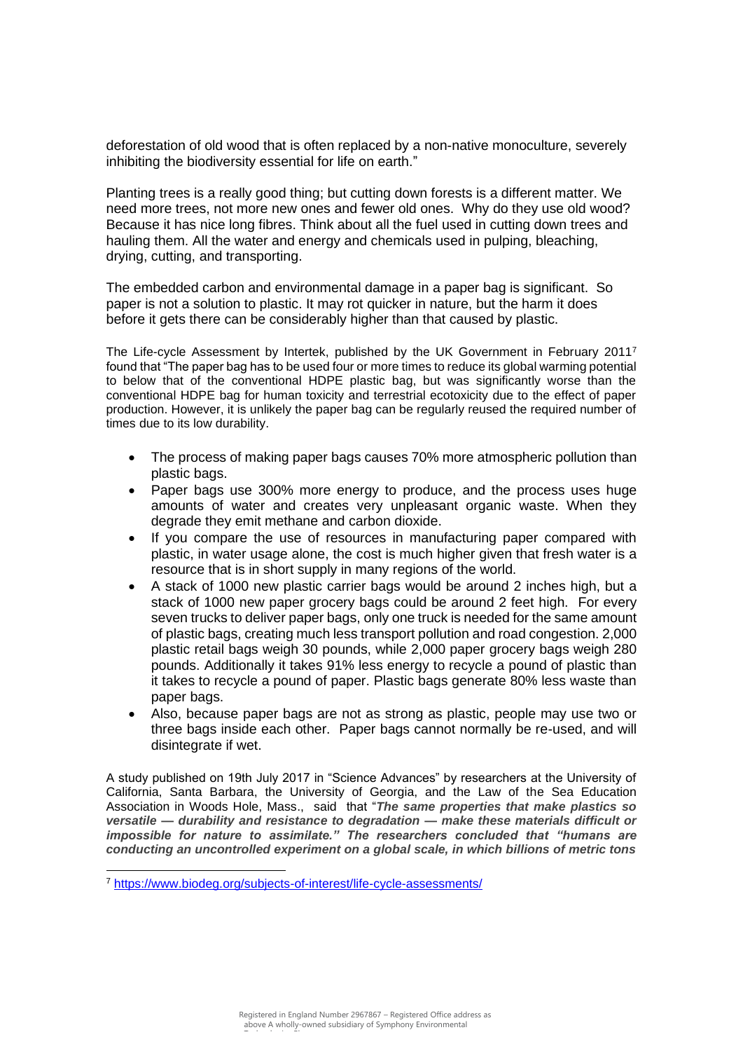deforestation of old wood that is often replaced by a non-native monoculture, severely inhibiting the biodiversity essential for life on earth."

Planting trees is a really good thing; but cutting down forests is a different matter. We need more trees, not more new ones and fewer old ones. Why do they use old wood? Because it has nice long fibres. Think about all the fuel used in cutting down trees and hauling them. All the water and energy and chemicals used in pulping, bleaching, drying, cutting, and transporting.

The embedded carbon and environmental damage in a paper bag is significant. So paper is not a solution to plastic. It may rot quicker in nature, but the harm it does before it gets there can be considerably higher than that caused by plastic.

The Life-cycle Assessment by Intertek, published by the UK Government in February 20117 found that "The paper bag has to be used four or more times to reduce its global warming potential to below that of the conventional HDPE plastic bag, but was significantly worse than the conventional HDPE bag for human toxicity and terrestrial ecotoxicity due to the effect of paper production. However, it is unlikely the paper bag can be regularly reused the required number of times due to its low durability.

- The process of making paper bags causes 70% more atmospheric pollution than plastic bags.
- Paper bags use 300% more energy to produce, and the process uses huge amounts of water and creates very unpleasant organic waste. When they degrade they emit methane and carbon dioxide.
- If you compare the use of resources in manufacturing paper compared with plastic, in water usage alone, the cost is much higher given that fresh water is a resource that is in short supply in many regions of the world.
- A stack of 1000 new plastic carrier bags would be around 2 inches high, but a stack of 1000 new paper grocery bags could be around 2 feet high. For every seven trucks to deliver paper bags, only one truck is needed for the same amount of plastic bags, creating much less transport pollution and road congestion. 2,000 plastic retail bags weigh 30 pounds, while 2,000 paper grocery bags weigh 280 pounds. Additionally it takes 91% less energy to recycle a pound of plastic than it takes to recycle a pound of paper. Plastic bags generate 80% less waste than paper bags.
- Also, because paper bags are not as strong as plastic, people may use two or three bags inside each other. Paper bags cannot normally be re-used, and will disintegrate if wet.

A study published on 19th July 2017 in "Science Advances" by researchers at the University of California, Santa Barbara, the University of Georgia, and the Law of the Sea Education Association in Woods Hole, Mass., said that "*The same properties that make plastics so versatile — durability and resistance to degradation — make these materials difficult or impossible for nature to assimilate." The researchers concluded that "humans are conducting an uncontrolled experiment on a global scale, in which billions of metric tons* 

<sup>7</sup> <https://www.biodeg.org/subjects-of-interest/life-cycle-assessments/>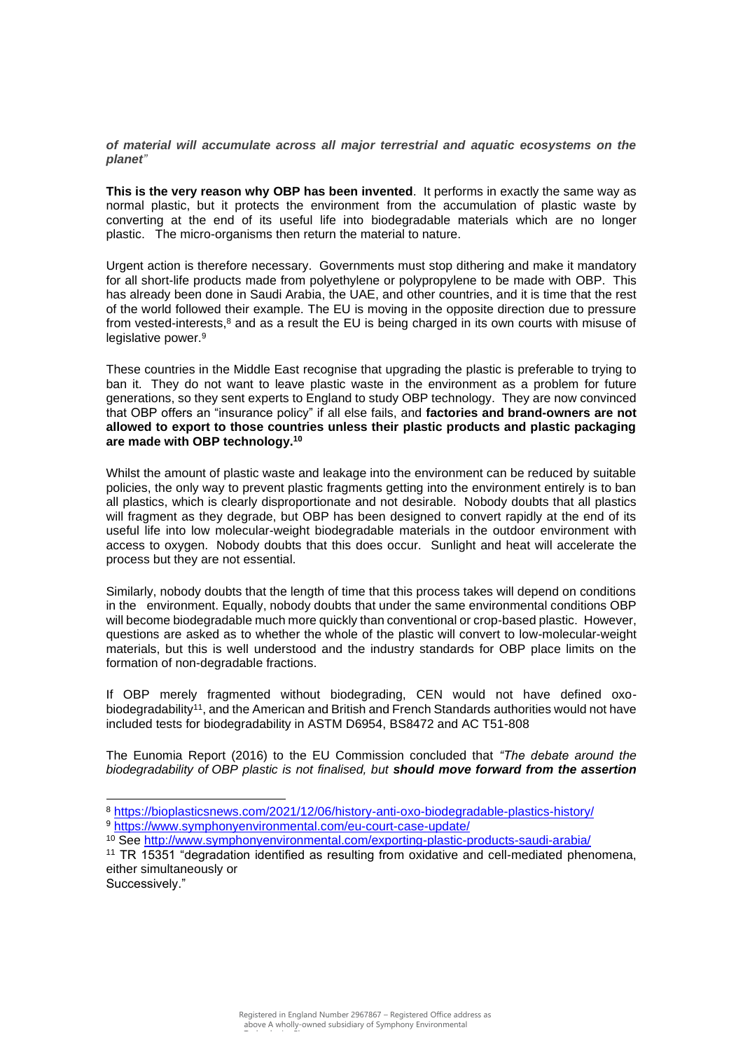*of material will accumulate across all major terrestrial and aquatic ecosystems on the planet"*

**This is the very reason why OBP has been invented**. It performs in exactly the same way as normal plastic, but it protects the environment from the accumulation of plastic waste by converting at the end of its useful life into biodegradable materials which are no longer plastic. The micro-organisms then return the material to nature.

Urgent action is therefore necessary. Governments must stop dithering and make it mandatory for all short-life products made from polyethylene or polypropylene to be made with OBP. This has already been done in Saudi Arabia, the UAE, and other countries, and it is time that the rest of the world followed their example. The EU is moving in the opposite direction due to pressure from vested-interests,<sup>8</sup> and as a result the EU is being charged in its own courts with misuse of legislative power.<sup>9</sup>

These countries in the Middle East recognise that upgrading the plastic is preferable to trying to ban it. They do not want to leave plastic waste in the environment as a problem for future generations, so they sent experts to England to study OBP technology. They are now convinced that OBP offers an "insurance policy" if all else fails, and **factories and brand-owners are not allowed to export to those countries unless their plastic products and plastic packaging are made with OBP technology.<sup>10</sup>**

Whilst the amount of plastic waste and leakage into the environment can be reduced by suitable policies, the only way to prevent plastic fragments getting into the environment entirely is to ban all plastics, which is clearly disproportionate and not desirable. Nobody doubts that all plastics will fragment as they degrade, but OBP has been designed to convert rapidly at the end of its useful life into low molecular-weight biodegradable materials in the outdoor environment with access to oxygen. Nobody doubts that this does occur. Sunlight and heat will accelerate the process but they are not essential.

Similarly, nobody doubts that the length of time that this process takes will depend on conditions in the environment. Equally, nobody doubts that under the same environmental conditions OBP will become biodegradable much more quickly than conventional or crop-based plastic. However, questions are asked as to whether the whole of the plastic will convert to low-molecular-weight materials, but this is well understood and the industry standards for OBP place limits on the formation of non-degradable fractions.

If OBP merely fragmented without biodegrading, CEN would not have defined oxobiodegradability<sup>11</sup>, and the American and British and French Standards authorities would not have included tests for biodegradability in ASTM D6954, BS8472 and AC T51-808

The Eunomia Report (2016) to the EU Commission concluded that *"The debate around the biodegradability of OBP plastic is not finalised, but should move forward from the assertion* 

Successively."

<sup>8</sup> <https://bioplasticsnews.com/2021/12/06/history-anti-oxo-biodegradable-plastics-history/>

<sup>9</sup> <https://www.symphonyenvironmental.com/eu-court-case-update/>

<sup>10</sup> See<http://www.symphonyenvironmental.com/exporting-plastic-products-saudi-arabia/>

<sup>11</sup> TR 15351 "degradation identified as resulting from oxidative and cell-mediated phenomena, either simultaneously or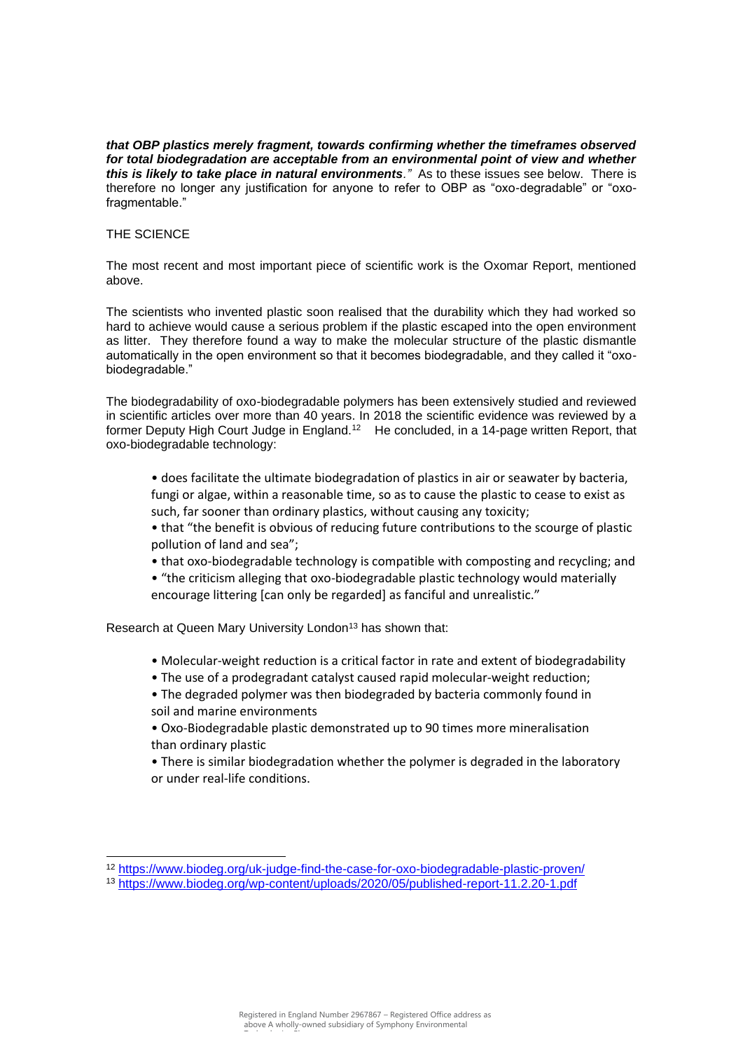*that OBP plastics merely fragment, towards confirming whether the timeframes observed for total biodegradation are acceptable from an environmental point of view and whether this is likely to take place in natural environments."* As to these issues see below. There is therefore no longer any justification for anyone to refer to OBP as "oxo-degradable" or "oxofragmentable."

#### THE SCIENCE

The most recent and most important piece of scientific work is the Oxomar Report, mentioned above.

The scientists who invented plastic soon realised that the durability which they had worked so hard to achieve would cause a serious problem if the plastic escaped into the open environment as litter. They therefore found a way to make the molecular structure of the plastic dismantle automatically in the open environment so that it becomes biodegradable, and they called it "oxobiodegradable."

The biodegradability of oxo-biodegradable polymers has been extensively studied and reviewed in scientific articles over more than 40 years. In 2018 the scientific evidence was reviewed by a former Deputy High Court Judge in England.<sup>12</sup> He concluded, in a 14-page written Report, that oxo-biodegradable technology:

• does facilitate the ultimate biodegradation of plastics in air or seawater by bacteria, fungi or algae, within a reasonable time, so as to cause the plastic to cease to exist as such, far sooner than ordinary plastics, without causing any toxicity;

• that "the benefit is obvious of reducing future contributions to the scourge of plastic pollution of land and sea";

• that oxo-biodegradable technology is compatible with composting and recycling; and

• "the criticism alleging that oxo-biodegradable plastic technology would materially encourage littering [can only be regarded] as fanciful and unrealistic."

Research at Queen Mary University London<sup>13</sup> has shown that:

- Molecular-weight reduction is a critical factor in rate and extent of biodegradability
- The use of a prodegradant catalyst caused rapid molecular-weight reduction;
- The degraded polymer was then biodegraded by bacteria commonly found in soil and marine environments

• Oxo-Biodegradable plastic demonstrated up to 90 times more mineralisation than ordinary plastic

• There is similar biodegradation whether the polymer is degraded in the laboratory or under real-life conditions.

<sup>12</sup> <https://www.biodeg.org/uk-judge-find-the-case-for-oxo-biodegradable-plastic-proven/>

<sup>13</sup> <https://www.biodeg.org/wp-content/uploads/2020/05/published-report-11.2.20-1.pdf>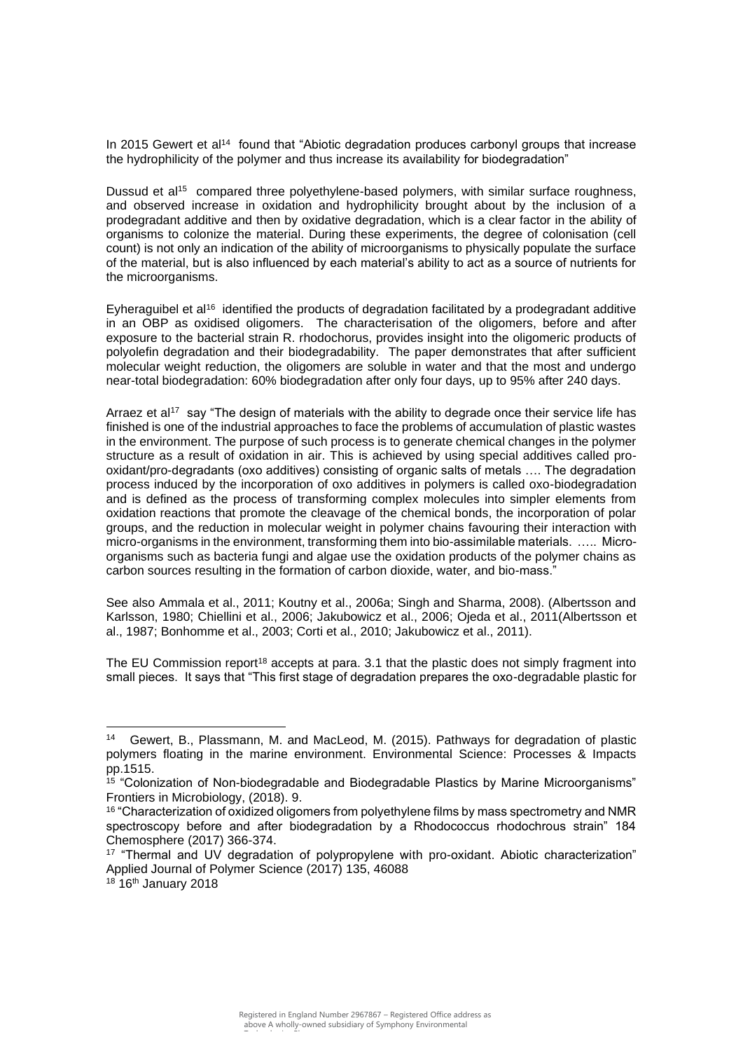In 2015 Gewert et al<sup>14</sup> found that "Abiotic degradation produces carbonyl groups that increase the hydrophilicity of the polymer and thus increase its availability for biodegradation"

Dussud et al<sup>15</sup> compared three polyethylene-based polymers, with similar surface roughness, and observed increase in oxidation and hydrophilicity brought about by the inclusion of a prodegradant additive and then by oxidative degradation, which is a clear factor in the ability of organisms to colonize the material. During these experiments, the degree of colonisation (cell count) is not only an indication of the ability of microorganisms to physically populate the surface of the material, but is also influenced by each material's ability to act as a source of nutrients for the microorganisms.

Eyheraguibel et al<sup>16</sup> identified the products of degradation facilitated by a prodegradant additive in an OBP as oxidised oligomers. The characterisation of the oligomers, before and after exposure to the bacterial strain R. rhodochorus, provides insight into the oligomeric products of polyolefin degradation and their biodegradability. The paper demonstrates that after sufficient molecular weight reduction, the oligomers are soluble in water and that the most and undergo near-total biodegradation: 60% biodegradation after only four days, up to 95% after 240 days.

Arraez et al<sup>17</sup> say "The design of materials with the ability to degrade once their service life has finished is one of the industrial approaches to face the problems of accumulation of plastic wastes in the environment. The purpose of such process is to generate chemical changes in the polymer structure as a result of oxidation in air. This is achieved by using special additives called prooxidant/pro-degradants (oxo additives) consisting of organic salts of metals …. The degradation process induced by the incorporation of oxo additives in polymers is called oxo-biodegradation and is defined as the process of transforming complex molecules into simpler elements from oxidation reactions that promote the cleavage of the chemical bonds, the incorporation of polar groups, and the reduction in molecular weight in polymer chains favouring their interaction with micro-organisms in the environment, transforming them into bio-assimilable materials. ….. Microorganisms such as bacteria fungi and algae use the oxidation products of the polymer chains as carbon sources resulting in the formation of carbon dioxide, water, and bio-mass."

See also Ammala et al., 2011; Koutny et al., 2006a; Singh and Sharma, 2008). (Albertsson and Karlsson, 1980; Chiellini et al., 2006; Jakubowicz et al., 2006; Ojeda et al., 2011(Albertsson et al., 1987; Bonhomme et al., 2003; Corti et al., 2010; Jakubowicz et al., 2011).

The EU Commission report<sup>18</sup> accepts at para. 3.1 that the plastic does not simply fragment into small pieces. It says that "This first stage of degradation prepares the oxo-degradable plastic for

<sup>14</sup> Gewert, B., Plassmann, M. and MacLeod, M. (2015). Pathways for degradation of plastic polymers floating in the marine environment. Environmental Science: Processes & Impacts pp.1515.

 $\frac{15}{15}$  "Colonization of Non-biodegradable and Biodegradable Plastics by Marine Microorganisms" Frontiers in Microbiology, (2018). 9.

 $16$  "Characterization of oxidized oligomers from polyethylene films by mass spectrometry and NMR spectroscopy before and after biodegradation by a Rhodococcus rhodochrous strain" 184 Chemosphere (2017) 366-374.

<sup>17</sup> "Thermal and UV degradation of polypropylene with pro-oxidant. Abiotic characterization" Applied Journal of Polymer Science (2017) 135, 46088

 $18$  16<sup>th</sup> January 2018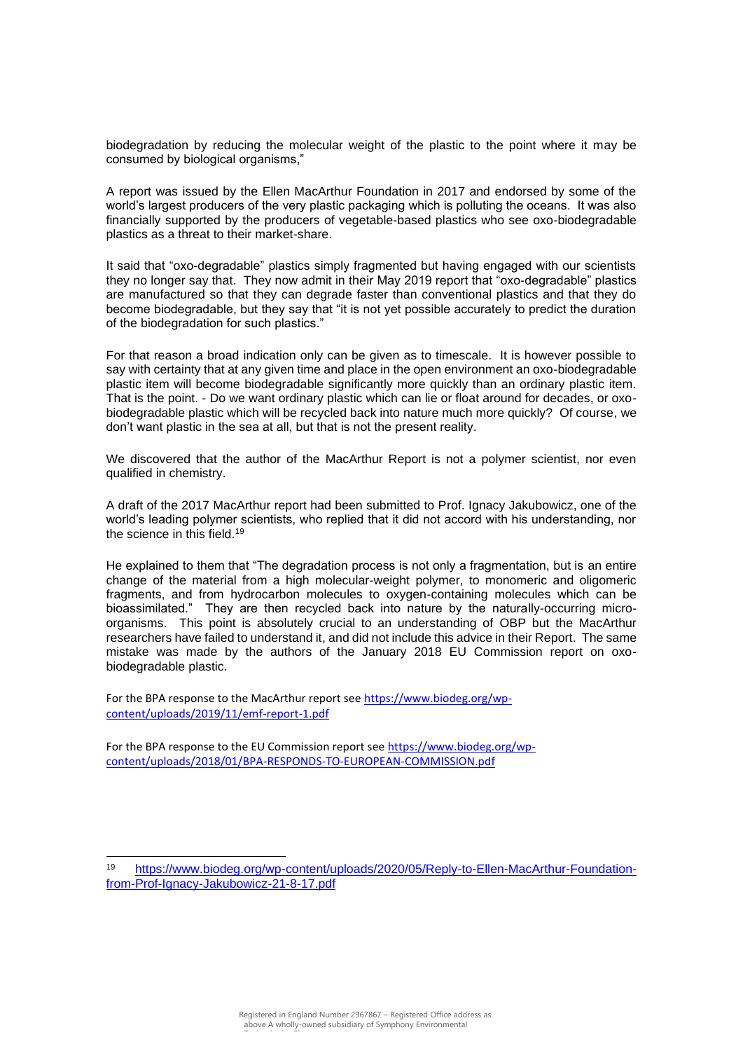biodegradation by reducing the molecular weight of the plastic to the point where it may be consumed by biological organisms,"

A report was issued by the Ellen MacArthur Foundation in 2017 and endorsed by some of the world's largest producers of the very plastic packaging which is polluting the oceans. It was also financially supported by the producers of vegetable-based plastics who see oxo-biodegradable plastics as a threat to their market-share.

It said that "oxo-degradable" plastics simply fragmented but having engaged with our scientists they no longer say that. They now admit in their May 2019 report that "oxo-degradable" plastics are manufactured so that they can degrade faster than conventional plastics and that they do become biodegradable, but they say that "it is not yet possible accurately to predict the duration of the biodegradation for such plastics."

For that reason a broad indication only can be given as to timescale. It is however possible to say with certainty that at any given time and place in the open environment an oxo-biodegradable plastic item will become biodegradable significantly more quickly than an ordinary plastic item. That is the point. - Do we want ordinary plastic which can lie or float around for decades, or oxobiodegradable plastic which will be recycled back into nature much more quickly? Of course, we don't want plastic in the sea at all, but that is not the present reality.

We discovered that the author of the MacArthur Report is not a polymer scientist, nor even qualified in chemistry.

A draft of the 2017 MacArthur report had been submitted to Prof. Ignacy Jakubowicz, one of the world's leading polymer scientists, who replied that it did not accord with his understanding, nor the science in this field.<sup>19</sup>

He explained to them that "The degradation process is not only a fragmentation, but is an entire change of the material from a high molecular-weight polymer, to monomeric and oligomeric fragments, and from hydrocarbon molecules to oxygen-containing molecules which can be bioassimilated." They are then recycled back into nature by the naturally-occurring microorganisms. This point is absolutely crucial to an understanding of OBP but the MacArthur researchers have failed to understand it, and did not include this advice in their Report. The same mistake was made by the authors of the January 2018 EU Commission report on oxobiodegradable plastic.

For the BPA response to the MacArthur report see [https://www.biodeg.org/wp](https://www.biodeg.org/wp-content/uploads/2019/11/emf-report-1.pdf)[content/uploads/2019/11/emf-report-1.pdf](https://www.biodeg.org/wp-content/uploads/2019/11/emf-report-1.pdf)

For the BPA response to the EU Commission report se[e https://www.biodeg.org/wp](https://www.biodeg.org/wp-content/uploads/2018/01/BPA-RESPONDS-TO-EUROPEAN-COMMISSION.pdf)[content/uploads/2018/01/BPA-RESPONDS-TO-EUROPEAN-COMMISSION.pdf](https://www.biodeg.org/wp-content/uploads/2018/01/BPA-RESPONDS-TO-EUROPEAN-COMMISSION.pdf)

<sup>19</sup> [https://www.biodeg.org/wp-content/uploads/2020/05/Reply-to-Ellen-MacArthur-Foundation](https://www.biodeg.org/wp-content/uploads/2020/05/Reply-to-Ellen-MacArthur-Foundation-from-Prof-Ignacy-Jakubowicz-21-8-17.pdf)[from-Prof-Ignacy-Jakubowicz-21-8-17.pdf](https://www.biodeg.org/wp-content/uploads/2020/05/Reply-to-Ellen-MacArthur-Foundation-from-Prof-Ignacy-Jakubowicz-21-8-17.pdf)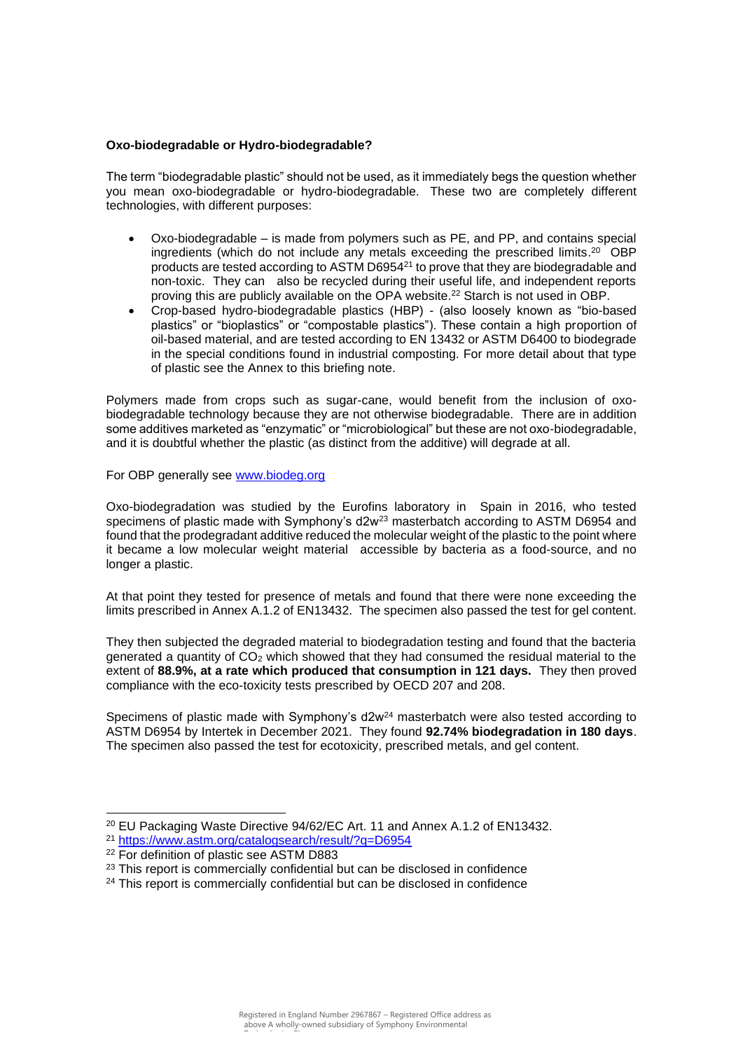#### **Oxo-biodegradable or Hydro-biodegradable?**

The term "biodegradable plastic" should not be used, as it immediately begs the question whether you mean oxo-biodegradable or hydro-biodegradable. These two are completely different technologies, with different purposes:

- Oxo-biodegradable is made from polymers such as PE, and PP, and contains special ingredients (which do not include any metals exceeding the prescribed limits.<sup>20</sup> OBP products are tested according to ASTM D6954<sup>21</sup> to prove that they are biodegradable and non-toxic. They can also be recycled during their useful life, and independent reports proving this are publicly available on the OPA website.<sup>22</sup> Starch is not used in OBP.
- Crop-based hydro-biodegradable plastics (HBP) (also loosely known as "bio-based plastics" or "bioplastics" or "compostable plastics"). These contain a high proportion of oil-based material, and are tested according to EN 13432 or ASTM D6400 to biodegrade in the special conditions found in industrial composting. For more detail about that type of plastic see the Annex to this briefing note.

Polymers made from crops such as sugar-cane, would benefit from the inclusion of oxobiodegradable technology because they are not otherwise biodegradable. There are in addition some additives marketed as "enzymatic" or "microbiological" but these are not oxo-biodegradable, and it is doubtful whether the plastic (as distinct from the additive) will degrade at all.

For OBP generally see [www.biodeg.org](http://www.biodeg.org/)

Oxo-biodegradation was studied by the Eurofins laboratory in Spain in 2016, who tested specimens of plastic made with Symphony's  $d2w^{23}$  masterbatch according to ASTM D6954 and found that the prodegradant additive reduced the molecular weight of the plastic to the point where it became a low molecular weight material accessible by bacteria as a food-source, and no longer a plastic.

At that point they tested for presence of metals and found that there were none exceeding the limits prescribed in Annex A.1.2 of EN13432. The specimen also passed the test for gel content.

They then subjected the degraded material to biodegradation testing and found that the bacteria generated a quantity of  $CO<sub>2</sub>$  which showed that they had consumed the residual material to the extent of **88.9%, at a rate which produced that consumption in 121 days.** They then proved compliance with the eco-toxicity tests prescribed by OECD 207 and 208.

Specimens of plastic made with Symphony's d2w<sup>24</sup> masterbatch were also tested according to ASTM D6954 by Intertek in December 2021. They found **92.74% biodegradation in 180 days**. The specimen also passed the test for ecotoxicity, prescribed metals, and gel content.

<sup>20</sup> EU Packaging Waste Directive 94/62/EC Art. 11 and Annex A.1.2 of EN13432.

<sup>21</sup> <https://www.astm.org/catalogsearch/result/?q=D6954>

<sup>&</sup>lt;sup>22</sup> For definition of plastic see ASTM D883

<sup>&</sup>lt;sup>23</sup> [This](http://www.d2w.net/) report is commercially confidential but can be disclosed in confidence

<sup>&</sup>lt;sup>24</sup> This report is commercially confidential but can be disclosed in confidence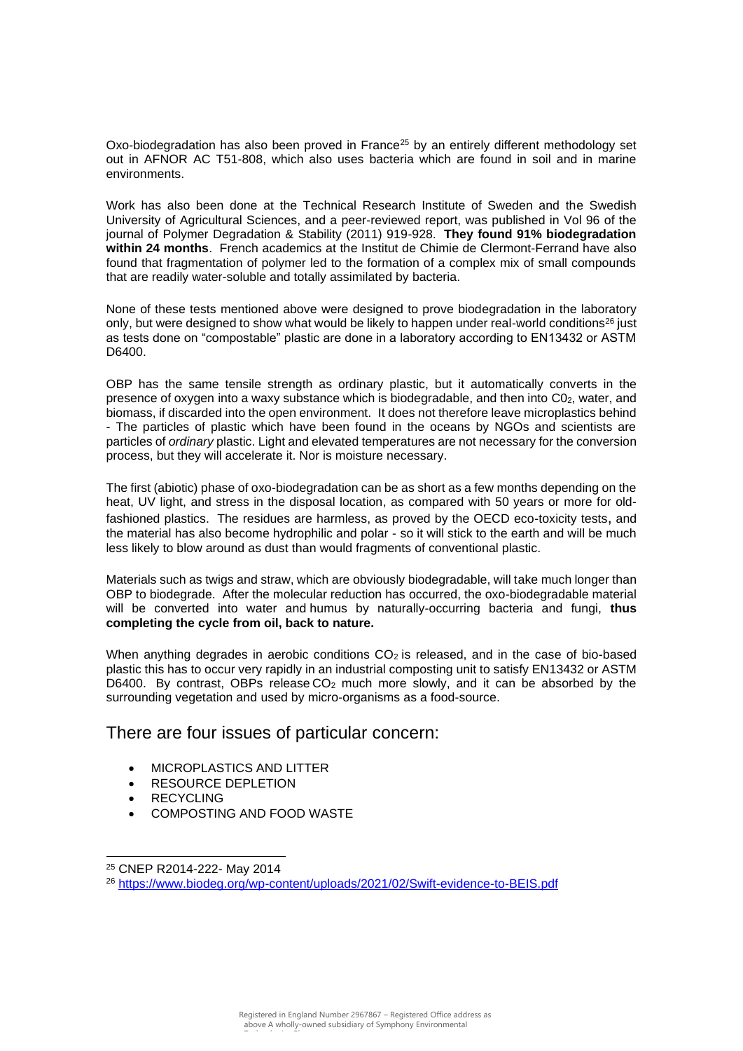Oxo-biodegradation has also been proved in France<sup>25</sup> by an entirely different methodology set out in AFNOR AC T51-808, which also uses bacteria which are found in soil and in marine environments.

Work has also been done at the Technical Research Institute of Sweden and the Swedish University of Agricultural Sciences, and a peer-reviewed report, was published in Vol 96 of the journal of Polymer Degradation & Stability (2011) 919-928. **They found 91% biodegradation within 24 months**. French academics at the Institut de Chimie de Clermont-Ferrand have also found that fragmentation of polymer led to the formation of a complex mix of small compounds that are readily water-soluble and totally assimilated by bacteria.

None of these tests mentioned above were designed to prove biodegradation in the laboratory only, but were designed to show what would be likely to happen under real-world conditions<sup>26</sup> just as tests done on "compostable" plastic are done in a laboratory according to EN13432 or ASTM D6400.

OBP has the same tensile strength as ordinary plastic, but it automatically converts in the presence of oxygen into a waxy substance which is biodegradable, and then into C02, water, and biomass, if discarded into the open environment. It does not therefore leave microplastics behind - The particles of plastic which have been found in the oceans by NGOs and scientists are particles of *ordinary* plastic. Light and elevated temperatures are not necessary for the conversion process, but they will accelerate it. Nor is moisture necessary.

The first (abiotic) phase of oxo-biodegradation can be as short as a few months depending on the heat, UV light, and stress in the disposal location, as compared with 50 years or more for oldfashioned plastics. The residues are harmless, as proved by the OECD eco-toxicity tests, and the material has also become hydrophilic and polar - so it will stick to the earth and will be much less likely to blow around as dust than would fragments of conventional plastic.

Materials such as twigs and straw, which are obviously biodegradable, will take much longer than OBP to biodegrade. After the molecular reduction has occurred, the oxo-biodegradable material will be converted into water and humus by naturally-occurring bacteria and fungi, **thus completing the cycle from oil, back to nature.**

When anything degrades in aerobic conditions  $CO<sub>2</sub>$  is released, and in the case of bio-based plastic this has to occur very rapidly in an industrial composting unit to satisfy EN13432 or ASTM D6400. By contrast, OBPs release  $CO<sub>2</sub>$  much more slowly, and it can be absorbed by the surrounding vegetation and used by micro-organisms as a food-source.

## There are four issues of particular concern:

- MICROPLASTICS AND LITTER
- RESOURCE DEPLETION
- **RECYCLING**
- COMPOSTING AND FOOD WASTE

<sup>25</sup> CNEP R2014-222- May 2014

<sup>26</sup> <https://www.biodeg.org/wp-content/uploads/2021/02/Swift-evidence-to-BEIS.pdf>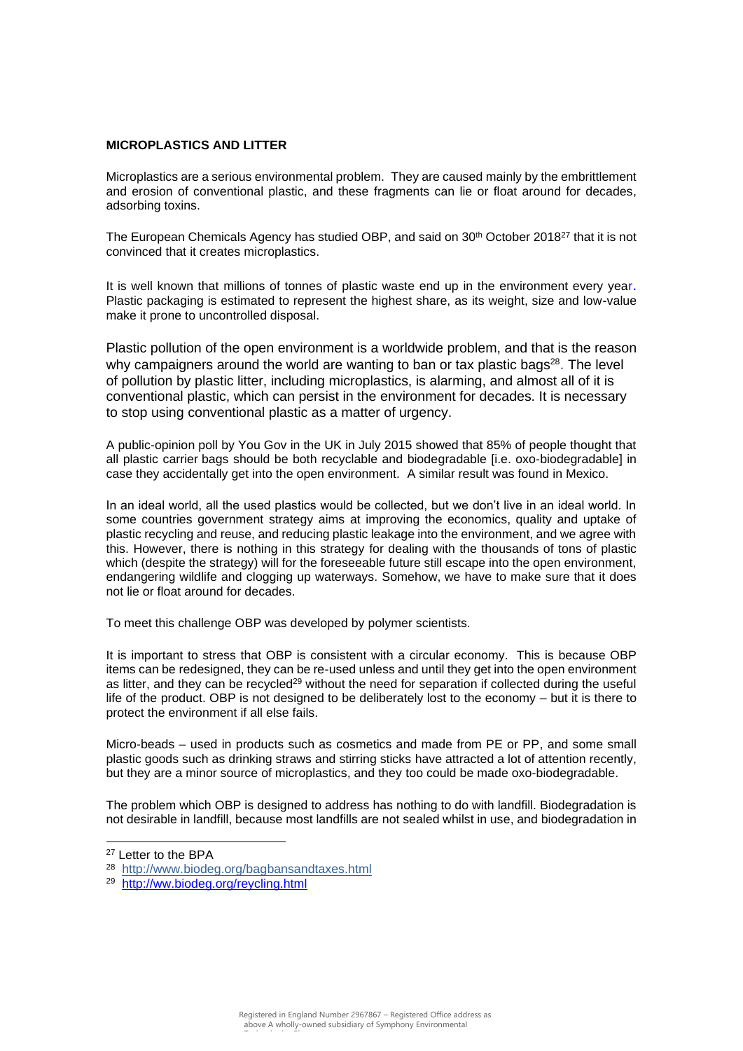## **MICROPLASTICS AND LITTER**

Microplastics are a serious environmental problem. They are caused mainly by the embrittlement and erosion of conventional plastic, and these fragments can lie or float around for decades, adsorbing toxins.

The European Chemicals Agency has studied OBP, and said on 30<sup>th</sup> October 2018<sup>27</sup> that it is not convinced that it creates microplastics.

It is well known that millions of tonnes of plastic waste end up in the environment every year. Plastic packaging is estimated to represent the highest share, as its weight, size and low-value make it prone to uncontrolled disposal.

Plastic pollution of the open environment is a worldwide problem, and that is the reason why campaigners around the world are wanting to ban or tax plastic bags $28$ . The level of pollution by plastic litter, including microplastics, is alarming, and almost all of it is conventional plastic, which can persist in the environment for decades. It is necessary to stop using conventional plastic as a matter of urgency.

A public-opinion poll by You Gov in the UK in July 2015 showed that 85% of people thought that all plastic carrier bags should be both recyclable and biodegradable [i.e. oxo-biodegradable] in case they accidentally get into the open environment. A similar result was found in Mexico.

In an ideal world, all the used plastics would be collected, but we don't live in an ideal world. In some countries government strategy aims at improving the economics, quality and uptake of plastic recycling and reuse, and reducing plastic leakage into the environment, and we agree with this. However, there is nothing in this strategy for dealing with the thousands of tons of plastic which (despite the strategy) will for the foreseeable future still escape into the open environment, endangering wildlife and clogging up waterways. Somehow, we have to make sure that it does not lie or float around for decades.

To meet this challenge OBP was developed by polymer scientists.

It is important to stress that OBP is consistent with a circular economy. This is because OBP items can be redesigned, they can be re-used unless and until they get into the open environment as litter, and they can be recycled<sup>29</sup> without the need for separation if collected during the useful life of the product. OBP is not designed to be deliberately lost to the economy – but it is there to protect the environment if all else fails.

Micro-beads – used in products such as cosmetics and made from PE or PP, and some small plastic goods such as drinking straws and stirring sticks have attracted a lot of attention recently, but they are a minor source of microplastics, and they too could be made oxo-biodegradable.

The problem which OBP is designed to address has nothing to do with landfill. Biodegradation is not desirable in landfill, because most landfills are not sealed whilst in use, and biodegradation in

<sup>27</sup> Letter to the BPA

<sup>28</sup> <http://www.biodeg.org/bagbansandtaxes.html>

<sup>&</sup>lt;sup>29</sup> <http://ww.biodeg.org/reycling.html>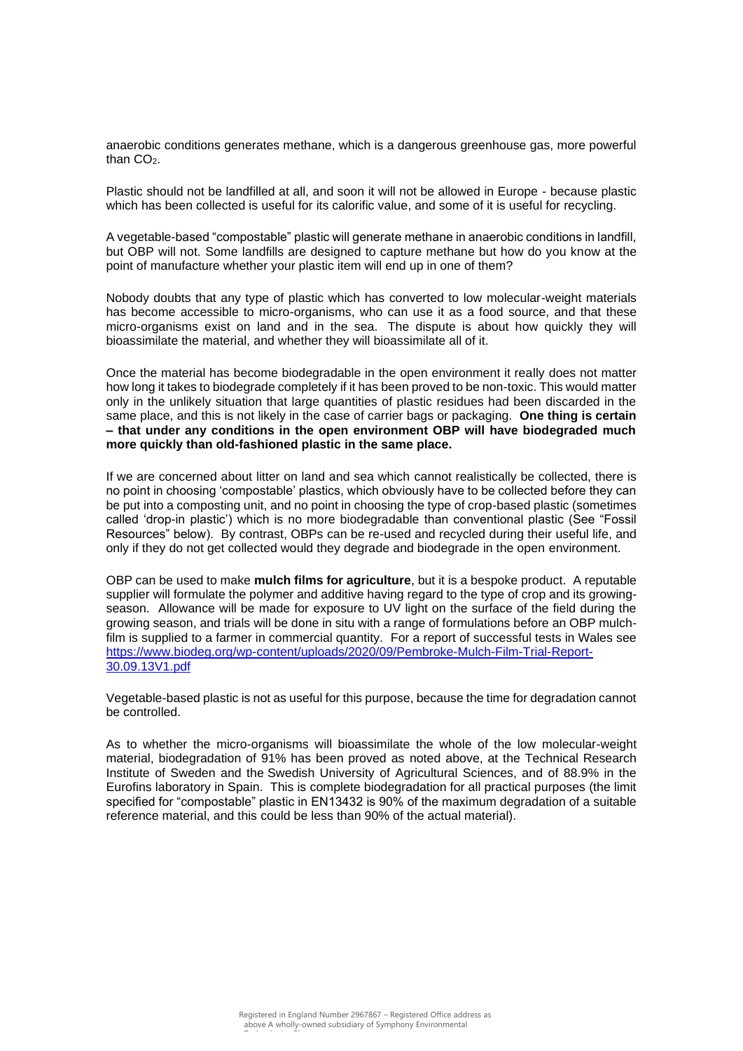anaerobic conditions generates methane, which is a dangerous greenhouse gas, more powerful than CO<sub>2</sub>.

Plastic should not be landfilled at all, and soon it will not be allowed in Europe - because plastic which has been collected is useful for its calorific value, and some of it is useful for recycling.

A vegetable-based "compostable" plastic will generate methane in anaerobic conditions in landfill, but OBP will not. Some landfills are designed to capture methane but how do you know at the point of manufacture whether your plastic item will end up in one of them?

Nobody doubts that any type of plastic which has converted to low molecular-weight materials has become accessible to micro-organisms, who can use it as a food source, and that these micro-organisms exist on land and in the sea. The dispute is about how quickly they will bioassimilate the material, and whether they will bioassimilate all of it.

Once the material has become biodegradable in the open environment it really does not matter how long it takes to biodegrade completely if it has been proved to be non-toxic. This would matter only in the unlikely situation that large quantities of plastic residues had been discarded in the same place, and this is not likely in the case of carrier bags or packaging. **One thing is certain – that under any conditions in the open environment OBP will have biodegraded much more quickly than old-fashioned plastic in the same place.**

If we are concerned about litter on land and sea which cannot realistically be collected, there is no point in choosing 'compostable' plastics, which obviously have to be collected before they can be put into a composting unit, and no point in choosing the type of crop-based plastic (sometimes called 'drop-in plastic') which is no more biodegradable than conventional plastic (See "Fossil Resources" below). By contrast, OBPs can be re-used and recycled during their useful life, and only if they do not get collected would they degrade and biodegrade in the open environment.

OBP can be used to make **mulch films for agriculture**, but it is a bespoke product. A reputable supplier will formulate the polymer and additive having regard to the type of crop and its growingseason. Allowance will be made for exposure to UV light on the surface of the field during the growing season, and trials will be done in situ with a range of formulations before an OBP mulchfilm is supplied to a farmer in commercial quantity. For a report of successful tests in Wales see [https://www.biodeg.org/wp-content/uploads/2020/09/Pembroke-Mulch-Film-Trial-Report-](https://www.biodeg.org/wp-content/uploads/2020/09/Pembroke-Mulch-Film-Trial-Report-30.09.13V1.pdf)[30.09.13V1.pdf](https://www.biodeg.org/wp-content/uploads/2020/09/Pembroke-Mulch-Film-Trial-Report-30.09.13V1.pdf)

Vegetable-based plastic is not as useful for this purpose, because the time for degradation cannot be controlled.

As to whether the micro-organisms will bioassimilate the whole of the low molecular-weight material, biodegradation of 91% has been proved as noted above, at the Technical Research Institute of Sweden and the Swedish University of Agricultural Sciences, and of 88.9% in the Eurofins laboratory in Spain. This is complete biodegradation for all practical purposes (the limit specified for "compostable" plastic in EN13432 is 90% of the maximum degradation of a suitable reference material, and this could be less than 90% of the actual material).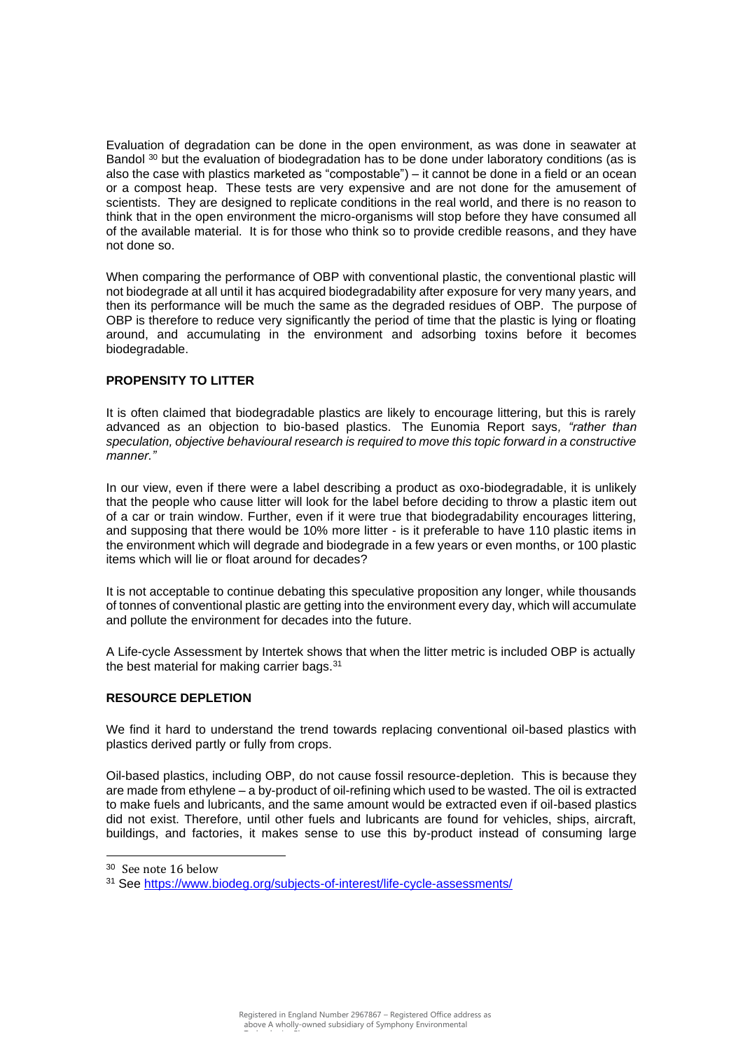Evaluation of degradation can be done in the open environment, as was done in seawater at Bandol <sup>30</sup> but the evaluation of biodegradation has to be done under laboratory conditions (as is also the case with plastics marketed as "compostable") – it cannot be done in a field or an ocean or a compost heap. These tests are very expensive and are not done for the amusement of scientists. They are designed to replicate conditions in the real world, and there is no reason to think that in the open environment the micro-organisms will stop before they have consumed all of the available material. It is for those who think so to provide credible reasons, and they have not done so.

When comparing the performance of OBP with conventional plastic, the conventional plastic will not biodegrade at all until it has acquired biodegradability after exposure for very many years, and then its performance will be much the same as the degraded residues of OBP. The purpose of OBP is therefore to reduce very significantly the period of time that the plastic is lying or floating around, and accumulating in the environment and adsorbing toxins before it becomes biodegradable.

## **PROPENSITY TO LITTER**

It is often claimed that biodegradable plastics are likely to encourage littering, but this is rarely advanced as an objection to bio-based plastics. The Eunomia Report says*, "rather than speculation, objective behavioural research is required to move this topic forward in a constructive manner."*

In our view, even if there were a label describing a product as oxo-biodegradable, it is unlikely that the people who cause litter will look for the label before deciding to throw a plastic item out of a car or train window. Further, even if it were true that biodegradability encourages littering, and supposing that there would be 10% more litter - is it preferable to have 110 plastic items in the environment which will degrade and biodegrade in a few years or even months, or 100 plastic items which will lie or float around for decades?

It is not acceptable to continue debating this speculative proposition any longer, while thousands of tonnes of conventional plastic are getting into the environment every day, which will accumulate and pollute the environment for decades into the future.

A Life-cycle Assessment by Intertek shows that when the litter metric is included OBP is actually the best material for making carrier bags.<sup>31</sup>

## **RESOURCE DEPLETION**

We find it hard to understand the trend towards replacing conventional oil-based plastics with plastics derived partly or fully from crops.

Oil-based plastics, including OBP, do not cause fossil resource-depletion. This is because they are made from ethylene – a by-product of oil-refining which used to be wasted. The oil is extracted to make fuels and lubricants, and the same amount would be extracted even if oil-based plastics did not exist. Therefore, until other fuels and lubricants are found for vehicles, ships, aircraft, buildings, and factories, it makes sense to use this by-product instead of consuming large

<sup>30</sup> See note 16 below

<sup>31</sup> See<https://www.biodeg.org/subjects-of-interest/life-cycle-assessments/>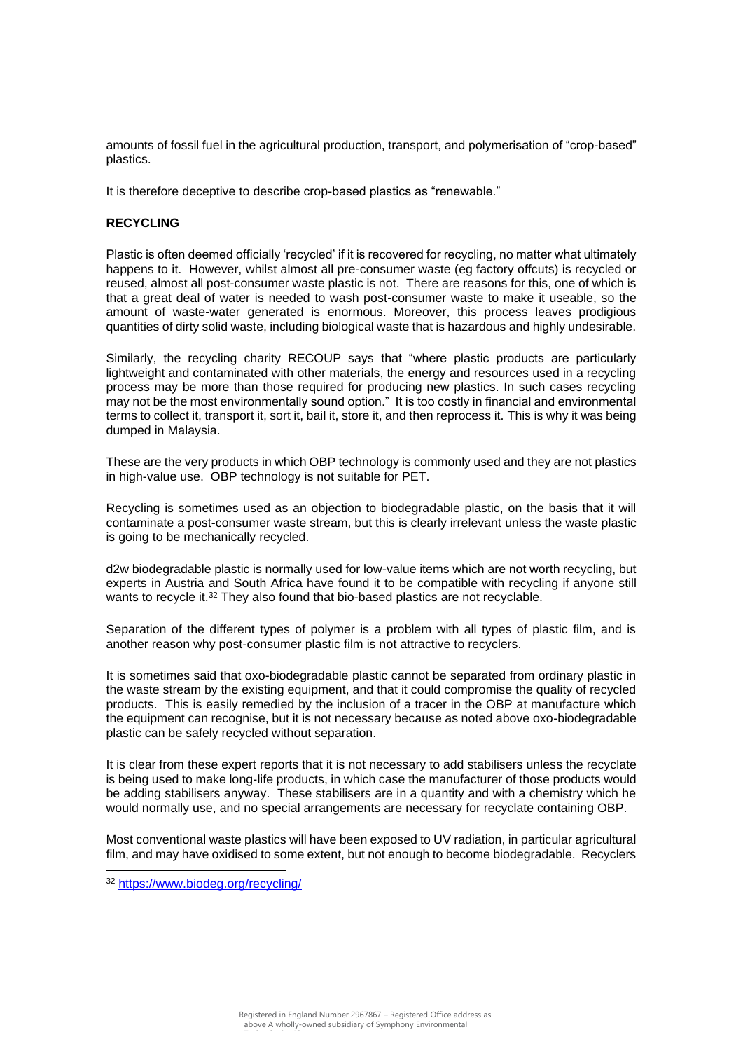amounts of fossil fuel in the agricultural production, transport, and polymerisation of "crop-based" plastics.

It is therefore deceptive to describe crop-based plastics as "renewable."

#### **RECYCLING**

Plastic is often deemed officially 'recycled' if it is recovered for recycling, no matter what ultimately happens to it. However, whilst almost all pre-consumer waste (eg factory offcuts) is recycled or reused, almost all post-consumer waste plastic is not. There are reasons for this, one of which is that a great deal of water is needed to wash post-consumer waste to make it useable, so the amount of waste-water generated is enormous. Moreover, this process leaves prodigious quantities of dirty solid waste, including biological waste that is hazardous and highly undesirable.

Similarly, the recycling charity RECOUP says that "where plastic products are particularly lightweight and contaminated with other materials, the energy and resources used in a recycling process may be more than those required for producing new plastics. In such cases recycling may not be the most environmentally sound option." It is too costly in financial and environmental terms to collect it, transport it, sort it, bail it, store it, and then reprocess it. This is why it was being dumped in Malaysia.

These are the very products in which OBP technology is commonly used and they are not plastics in high-value use. OBP technology is not suitable for PET.

Recycling is sometimes used as an objection to biodegradable plastic, on the basis that it will contaminate a post-consumer waste stream, but this is clearly irrelevant unless the waste plastic is going to be mechanically recycled.

d2w biodegradable plastic is normally used for low-value items which are not worth recycling, but experts in Austria and South Africa have found it to be compatible with recycling if anyone still wants to recycle it.<sup>32</sup> They also found that bio-based plastics are not recyclable.

Separation of the different types of polymer is a problem with all types of plastic film, and is another reason why post-consumer plastic film is not attractive to recyclers.

It is sometimes said that oxo-biodegradable plastic cannot be separated from ordinary plastic in the waste stream by the existing equipment, and that it could compromise the quality of recycled products. This is easily remedied by the inclusion of a tracer in the OBP at manufacture which the equipment can recognise, but it is not necessary because as noted above oxo-biodegradable plastic can be safely recycled without separation.

It is clear from these expert reports that it is not necessary to add stabilisers unless the recyclate is being used to make long-life products, in which case the manufacturer of those products would be adding stabilisers anyway. These stabilisers are in a quantity and with a chemistry which he would normally use, and no special arrangements are necessary for recyclate containing OBP.

Most conventional waste plastics will have been exposed to UV radiation, in particular agricultural film, and may have oxidised to some extent, but not enough to become biodegradable. Recyclers

<sup>32</sup> <https://www.biodeg.org/recycling/>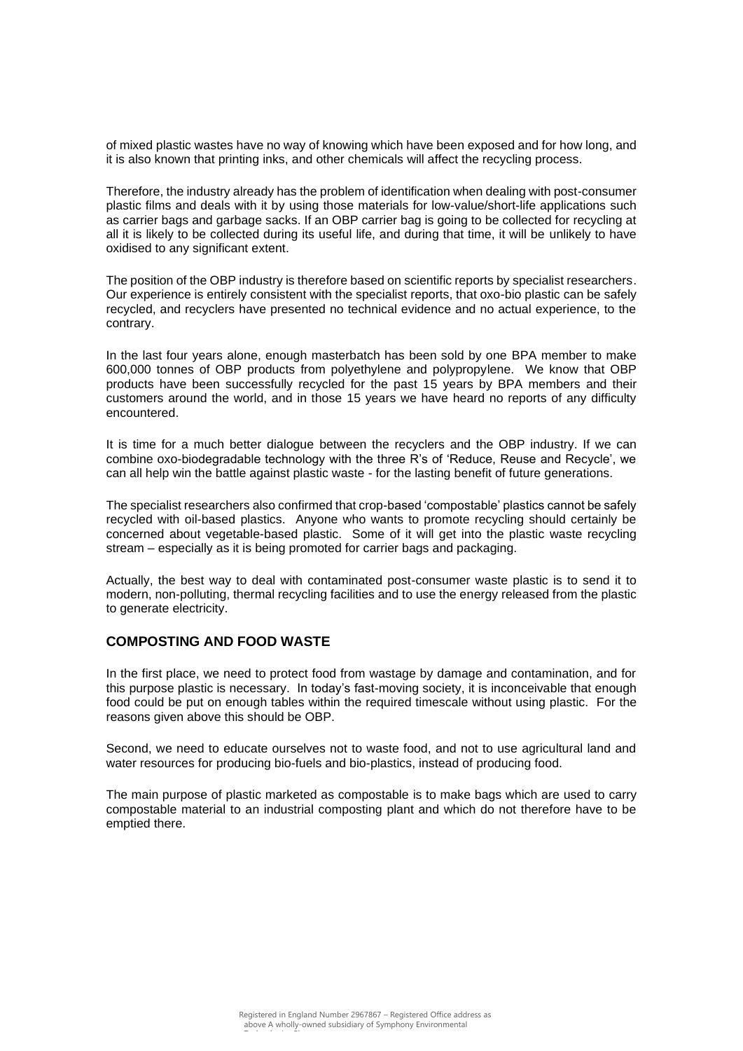of mixed plastic wastes have no way of knowing which have been exposed and for how long, and it is also known that printing inks, and other chemicals will affect the recycling process.

Therefore, the industry already has the problem of identification when dealing with post-consumer plastic films and deals with it by using those materials for low-value/short-life applications such as carrier bags and garbage sacks. If an OBP carrier bag is going to be collected for recycling at all it is likely to be collected during its useful life, and during that time, it will be unlikely to have oxidised to any significant extent.

The position of the OBP industry is therefore based on scientific reports by specialist researchers. Our experience is entirely consistent with the specialist reports, that oxo-bio plastic can be safely recycled, and recyclers have presented no technical evidence and no actual experience, to the contrary.

In the last four years alone, enough masterbatch has been sold by one BPA member to make 600,000 tonnes of OBP products from polyethylene and polypropylene. We know that OBP products have been successfully recycled for the past 15 years by BPA members and their customers around the world, and in those 15 years we have heard no reports of any difficulty encountered.

It is time for a much better dialogue between the recyclers and the OBP industry. If we can combine oxo-biodegradable technology with the three R's of 'Reduce, Reuse and Recycle', we can all help win the battle against plastic waste - for the lasting benefit of future generations.

The specialist researchers also confirmed that crop-based 'compostable' plastics cannot be safely recycled with oil-based plastics. Anyone who wants to promote recycling should certainly be concerned about vegetable-based plastic. Some of it will get into the plastic waste recycling stream – especially as it is being promoted for carrier bags and packaging.

Actually, the best way to deal with contaminated post-consumer waste plastic is to send it to modern, non-polluting, thermal recycling facilities and to use the energy released from the plastic to generate electricity.

## **COMPOSTING AND FOOD WASTE**

In the first place, we need to protect food from wastage by damage and contamination, and for this purpose plastic is necessary. In today's fast-moving society, it is inconceivable that enough food could be put on enough tables within the required timescale without using plastic. For the reasons given above this should be OBP.

Second, we need to educate ourselves not to waste food, and not to use agricultural land and water resources for producing bio-fuels and bio-plastics, instead of producing food.

The main purpose of plastic marketed as compostable is to make bags which are used to carry compostable material to an industrial composting plant and which do not therefore have to be emptied there.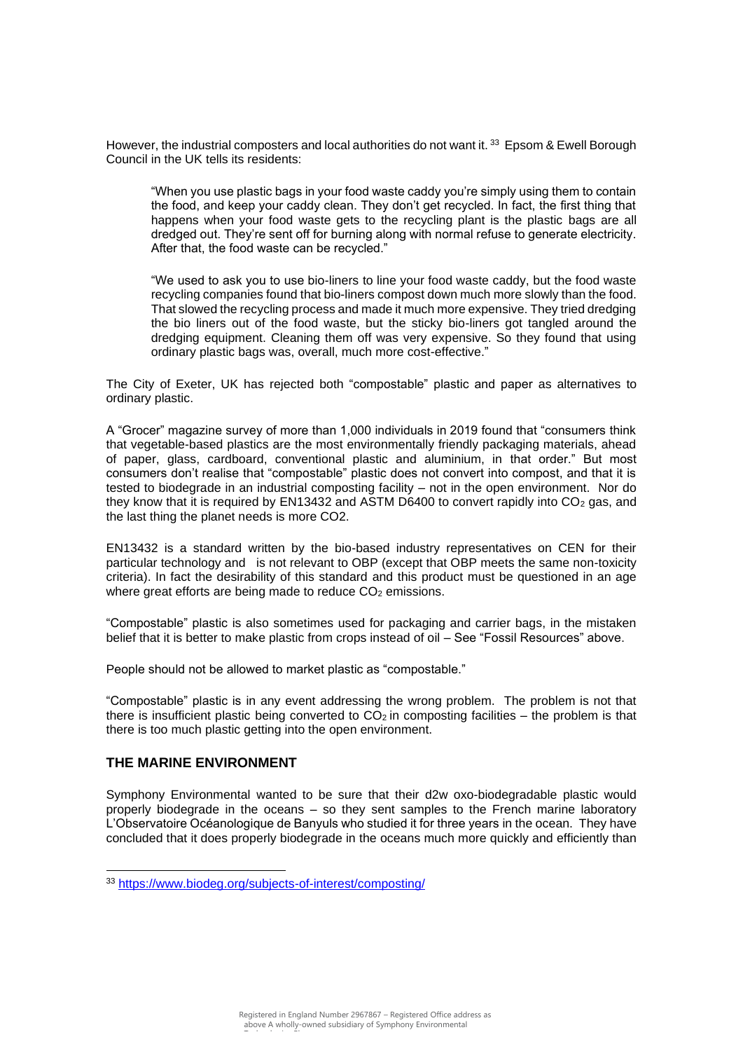However, the industrial composters and local authorities do not want it. 33 Epsom & Ewell Borough Council in the UK tells its residents:

"When you use plastic bags in your food waste caddy you're simply using them to contain the food, and keep your caddy clean. They don't get recycled. In fact, the first thing that happens when your food waste gets to the recycling plant is the plastic bags are all dredged out. They're sent off for burning along with normal refuse to generate electricity. After that, the food waste can be recycled."

"We used to ask you to use bio-liners to line your food waste caddy, but the food waste recycling companies found that bio-liners compost down much more slowly than the food. That slowed the recycling process and made it much more expensive. They tried dredging the bio liners out of the food waste, but the sticky bio-liners got tangled around the dredging equipment. Cleaning them off was very expensive. So they found that using ordinary plastic bags was, overall, much more cost-effective."

The City of Exeter, UK has rejected both "compostable" plastic and paper as alternatives to ordinary plastic.

A "Grocer" magazine survey of more than 1,000 individuals in 2019 found that "consumers think that vegetable-based plastics are the most environmentally friendly packaging materials, ahead of paper, glass, cardboard, conventional plastic and aluminium, in that order." But most consumers don't realise that "compostable" plastic does not convert into compost, and that it is tested to biodegrade in an industrial composting facility – not in the open environment. Nor do they know that it is required by EN13432 and ASTM D6400 to convert rapidly into  $CO<sub>2</sub>$  gas, and the last thing the planet needs is more CO2.

EN13432 is a standard written by the bio-based industry representatives on CEN for their particular technology and is not relevant to OBP (except that OBP meets the same non-toxicity criteria). In fact the desirability of this standard and this product must be questioned in an age where great efforts are being made to reduce  $CO<sub>2</sub>$  emissions.

"Compostable" plastic is also sometimes used for packaging and carrier bags, in the mistaken belief that it is better to make plastic from crops instead of oil – See "Fossil Resources" above.

People should not be allowed to market plastic as "compostable."

"Compostable" plastic is in any event addressing the wrong problem. The problem is not that there is insufficient plastic being converted to  $\overline{CO}_2$  in composting facilities – the problem is that there is too much plastic getting into the open environment.

## **THE MARINE ENVIRONMENT**

Symphony Environmental wanted to be sure that their d2w oxo-biodegradable plastic would properly biodegrade in the oceans – so they sent samples to the French marine laboratory L'Observatoire Océanologique de Banyuls who studied it for three years in the ocean. They have concluded that it does properly biodegrade in the oceans much more quickly and efficiently than

<sup>33</sup> <https://www.biodeg.org/subjects-of-interest/composting/>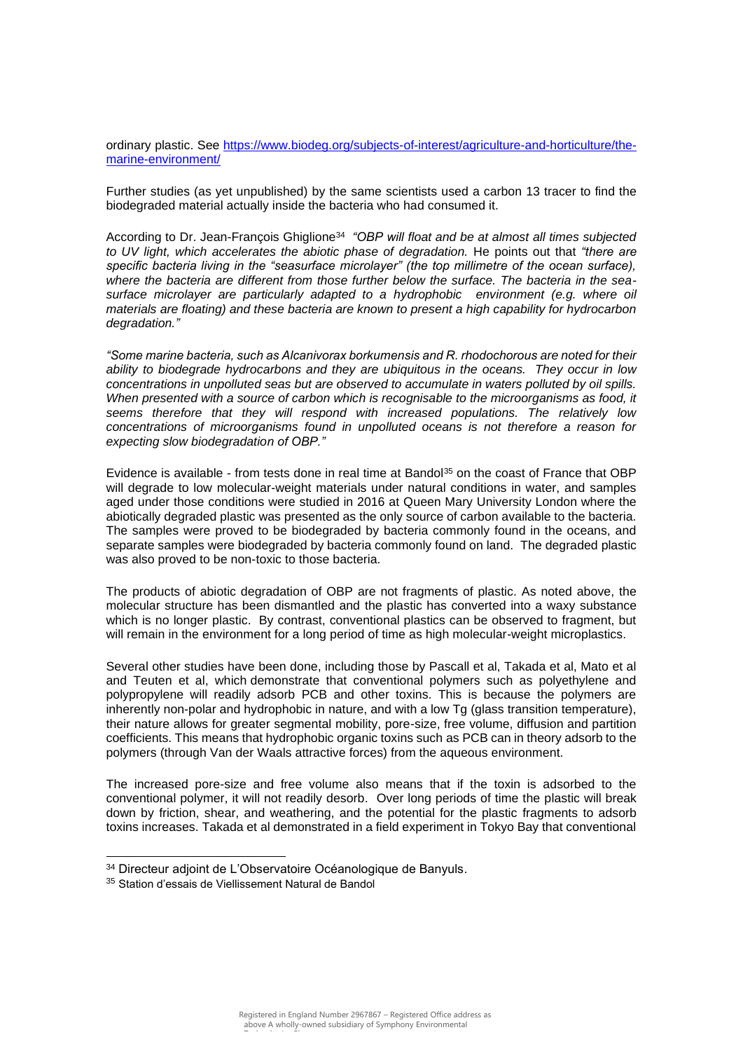ordinary plastic. See [https://www.biodeg.org/subjects-of-interest/agriculture-and-horticulture/the](https://www.biodeg.org/subjects-of-interest/agriculture-and-horticulture/the-marine-environment/)[marine-environment/](https://www.biodeg.org/subjects-of-interest/agriculture-and-horticulture/the-marine-environment/)

Further studies (as yet unpublished) by the same scientists used a carbon 13 tracer to find the biodegraded material actually inside the bacteria who had consumed it.

According to Dr. Jean-François Ghiglione<sup>34</sup> *"OBP will float and be at almost all times subjected to UV light, which accelerates the abiotic phase of degradation.* He points out that *"there are*  specific bacteria living in the "seasurface microlayer" (the top millimetre of the ocean surface), *where the bacteria are different from those further below the surface. The bacteria in the seasurface microlayer are particularly adapted to a hydrophobic environment (e.g. where oil materials are floating) and these bacteria are known to present a high capability for hydrocarbon degradation."*

*"Some marine bacteria, such as Alcanivorax borkumensis and R. rhodochorous are noted for their ability to biodegrade hydrocarbons and they are ubiquitous in the oceans. They occur in low concentrations in unpolluted seas but are observed to accumulate in waters polluted by oil spills. When presented with a source of carbon which is recognisable to the microorganisms as food, it seems therefore that they will respond with increased populations. The relatively low concentrations of microorganisms found in unpolluted oceans is not therefore a reason for expecting slow biodegradation of OBP."* 

Evidence is available - from tests done in real time at Bandol<sup>35</sup> on the coast of France that OBP will degrade to low molecular-weight materials under natural conditions in water, and samples aged under those conditions were studied in 2016 at Queen Mary University London where the abiotically degraded plastic was presented as the only source of carbon available to the bacteria. The samples were proved to be biodegraded by bacteria commonly found in the oceans, and separate samples were biodegraded by bacteria commonly found on land. The degraded plastic was also proved to be non-toxic to those bacteria.

The products of abiotic degradation of OBP are not fragments of plastic. As noted above, the molecular structure has been dismantled and the plastic has converted into a waxy substance which is no longer plastic. By contrast, conventional plastics can be observed to fragment, but will remain in the environment for a long period of time as high molecular-weight microplastics.

Several other studies have been done, including those by Pascall et al, Takada et al, Mato et al and Teuten et al, which demonstrate that conventional polymers such as polyethylene and polypropylene will readily adsorb PCB and other toxins. This is because the polymers are inherently non-polar and hydrophobic in nature, and with a low Tg (glass transition temperature), their nature allows for greater segmental mobility, pore-size, free volume, diffusion and partition coefficients. This means that hydrophobic organic toxins such as PCB can in theory adsorb to the polymers (through Van der Waals attractive forces) from the aqueous environment.

The increased pore-size and free volume also means that if the toxin is adsorbed to the conventional polymer, it will not readily desorb. Over long periods of time the plastic will break down by friction, shear, and weathering, and the potential for the plastic fragments to adsorb toxins increases. Takada et al demonstrated in a field experiment in Tokyo Bay that conventional

<sup>&</sup>lt;sup>34</sup> Directeur adioint de L'Observatoire Océanologique de Banyuls.

<sup>35</sup> Station d'essais de Viellissement Natural de Bandol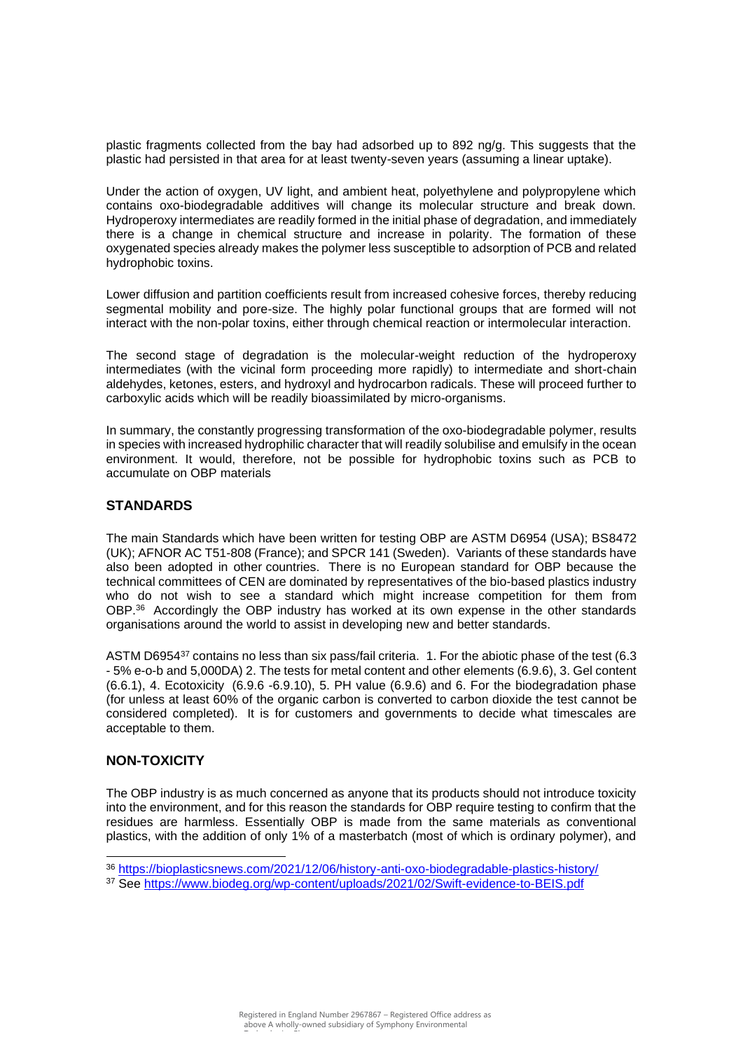plastic fragments collected from the bay had adsorbed up to 892 ng/g. This suggests that the plastic had persisted in that area for at least twenty-seven years (assuming a linear uptake).

Under the action of oxygen, UV light, and ambient heat, polyethylene and polypropylene which contains oxo-biodegradable additives will change its molecular structure and break down. Hydroperoxy intermediates are readily formed in the initial phase of degradation, and immediately there is a change in chemical structure and increase in polarity. The formation of these oxygenated species already makes the polymer less susceptible to adsorption of PCB and related hydrophobic toxins.

Lower diffusion and partition coefficients result from increased cohesive forces, thereby reducing segmental mobility and pore-size. The highly polar functional groups that are formed will not interact with the non-polar toxins, either through chemical reaction or intermolecular interaction.

The second stage of degradation is the molecular-weight reduction of the hydroperoxy intermediates (with the vicinal form proceeding more rapidly) to intermediate and short-chain aldehydes, ketones, esters, and hydroxyl and hydrocarbon radicals. These will proceed further to carboxylic acids which will be readily bioassimilated by micro-organisms.

In summary, the constantly progressing transformation of the oxo-biodegradable polymer, results in species with increased hydrophilic character that will readily solubilise and emulsify in the ocean environment. It would, therefore, not be possible for hydrophobic toxins such as PCB to accumulate on OBP materials

## **STANDARDS**

The main Standards which have been written for testing OBP are ASTM D6954 (USA); BS8472 (UK); AFNOR AC T51-808 (France); and SPCR 141 (Sweden). Variants of these standards have also been adopted in other countries. There is no European standard for OBP because the technical committees of CEN are dominated by representatives of the bio-based plastics industry who do not wish to see a standard which might increase competition for them from OBP.<sup>36</sup> Accordingly the OBP industry has worked at its own expense in the other standards organisations around the world to assist in developing new and better standards.

ASTM D6954<sup>37</sup> contains no less than six pass/fail criteria. 1. For the abiotic phase of the test (6.3 - 5% e-o-b and 5,000DA) 2. The tests for metal content and other elements (6.9.6), 3. Gel content (6.6.1), 4. Ecotoxicity (6.9.6 -6.9.10), 5. PH value (6.9.6) and 6. For the biodegradation phase (for unless at least 60% of the organic carbon is converted to carbon dioxide the test cannot be considered completed). It is for customers and governments to decide what timescales are acceptable to them.

## **NON-TOXICITY**

The OBP industry is as much concerned as anyone that its products should not introduce toxicity into the environment, and for this reason the standards for OBP require testing to confirm that the residues are harmless. Essentially OBP is made from the same materials as conventional plastics, with the addition of only 1% of a masterbatch (most of which is ordinary polymer), and

<sup>36</sup> <https://bioplasticsnews.com/2021/12/06/history-anti-oxo-biodegradable-plastics-history/>

<sup>37</sup> See<https://www.biodeg.org/wp-content/uploads/2021/02/Swift-evidence-to-BEIS.pdf>